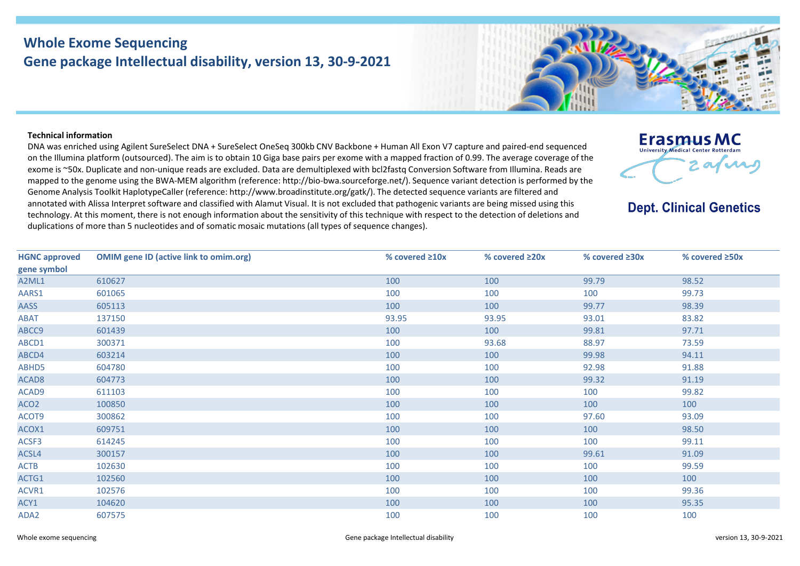## **Whole Exome Sequencing Gene package Intellectual disability, version 13, 30-9-2021**

## **Technical information**

DNA was enriched using Agilent SureSelect DNA + SureSelect OneSeq 300kb CNV Backbone + Human All Exon V7 capture and paired-end sequenced on the Illumina platform (outsourced). The aim is to obtain 10 Giga base pairs per exome with a mapped fraction of 0.99. The average coverage of the exome is ~50x. Duplicate and non-unique reads are excluded. Data are demultiplexed with bcl2fastq Conversion Software from Illumina. Reads are mapped to the genome using the BWA-MEM algorithm (reference: http://bio-bwa.sourceforge.net/). Sequence variant detection is performed by the Genome Analysis Toolkit HaplotypeCaller (reference: http://www.broadinstitute.org/gatk/). The detected sequence variants are filtered and annotated with Alissa Interpret software and classified with Alamut Visual. It is not excluded that pathogenic variants are being missed using this technology. At this moment, there is not enough information about the sensitivity of this technique with respect to the detection of deletions and duplications of more than 5 nucleotides and of somatic mosaic mutations (all types of sequence changes).



**Dept. Clinical Genetics** 

| <b>HGNC approved</b> | <b>OMIM gene ID (active link to omim.org)</b> | % covered $\geq 10x$ | % covered $\geq 20x$ | % covered $\geq 30x$ | % covered $\geq$ 50x |
|----------------------|-----------------------------------------------|----------------------|----------------------|----------------------|----------------------|
| gene symbol          |                                               |                      |                      |                      |                      |
| A2ML1                | 610627                                        | 100                  | 100                  | 99.79                | 98.52                |
| AARS1                | 601065                                        | 100                  | 100                  | 100                  | 99.73                |
| AASS                 | 605113                                        | 100                  | 100                  | 99.77                | 98.39                |
| <b>ABAT</b>          | 137150                                        | 93.95                | 93.95                | 93.01                | 83.82                |
| ABCC9                | 601439                                        | 100                  | 100                  | 99.81                | 97.71                |
| ABCD1                | 300371                                        | 100                  | 93.68                | 88.97                | 73.59                |
| ABCD4                | 603214                                        | 100                  | 100                  | 99.98                | 94.11                |
| ABHD5                | 604780                                        | 100                  | 100                  | 92.98                | 91.88                |
| ACAD <sub>8</sub>    | 604773                                        | 100                  | 100                  | 99.32                | 91.19                |
| ACAD9                | 611103                                        | 100                  | 100                  | 100                  | 99.82                |
| ACO <sub>2</sub>     | 100850                                        | 100                  | 100                  | 100                  | 100                  |
| ACOT9                | 300862                                        | 100                  | 100                  | 97.60                | 93.09                |
| ACOX1                | 609751                                        | 100                  | 100                  | 100                  | 98.50                |
| ACSF3                | 614245                                        | 100                  | 100                  | 100                  | 99.11                |
| ACSL4                | 300157                                        | 100                  | 100                  | 99.61                | 91.09                |
| <b>ACTB</b>          | 102630                                        | 100                  | 100                  | 100                  | 99.59                |
| ACTG1                | 102560                                        | 100                  | 100                  | 100                  | 100                  |
| ACVR1                | 102576                                        | 100                  | 100                  | 100                  | 99.36                |
| ACY1                 | 104620                                        | 100                  | 100                  | 100                  | 95.35                |
| ADA2                 | 607575                                        | 100                  | 100                  | 100                  | 100                  |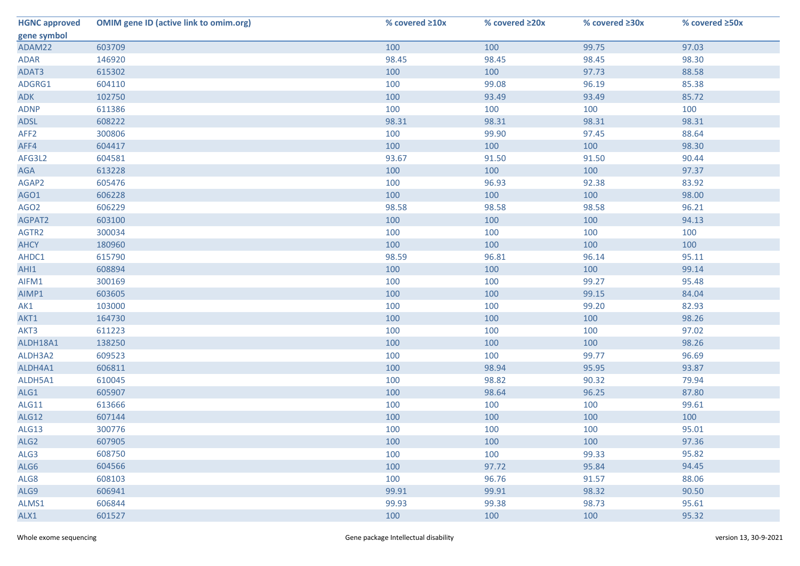| <b>HGNC approved</b> | <b>OMIM gene ID (active link to omim.org)</b> | % covered ≥10x | % covered ≥20x | % covered ≥30x | % covered ≥50x |
|----------------------|-----------------------------------------------|----------------|----------------|----------------|----------------|
| gene symbol          |                                               |                |                |                |                |
| ADAM22               | 603709                                        | 100            | 100            | 99.75          | 97.03          |
| <b>ADAR</b>          | 146920                                        | 98.45          | 98.45          | 98.45          | 98.30          |
| ADAT3                | 615302                                        | 100            | 100            | 97.73          | 88.58          |
| ADGRG1               | 604110                                        | 100            | 99.08          | 96.19          | 85.38          |
| <b>ADK</b>           | 102750                                        | 100            | 93.49          | 93.49          | 85.72          |
| <b>ADNP</b>          | 611386                                        | 100            | 100            | 100            | 100            |
| ADSL                 | 608222                                        | 98.31          | 98.31          | 98.31          | 98.31          |
| AFF <sub>2</sub>     | 300806                                        | 100            | 99.90          | 97.45          | 88.64          |
| AFF4                 | 604417                                        | 100            | 100            | 100            | 98.30          |
| AFG3L2               | 604581                                        | 93.67          | 91.50          | 91.50          | 90.44          |
| AGA                  | 613228                                        | 100            | 100            | 100            | 97.37          |
| AGAP2                | 605476                                        | 100            | 96.93          | 92.38          | 83.92          |
| AGO1                 | 606228                                        | 100            | 100            | 100            | 98.00          |
| AGO <sub>2</sub>     | 606229                                        | 98.58          | 98.58          | 98.58          | 96.21          |
| AGPAT2               | 603100                                        | 100            | 100            | 100            | 94.13          |
| AGTR2                | 300034                                        | 100            | 100            | 100            | 100            |
| <b>AHCY</b>          | 180960                                        | 100            | 100            | 100            | 100            |
| AHDC1                | 615790                                        | 98.59          | 96.81          | 96.14          | 95.11          |
| AHI1                 | 608894                                        | 100            | 100            | 100            | 99.14          |
| AIFM1                | 300169                                        | 100            | 100            | 99.27          | 95.48          |
| AIMP1                | 603605                                        | 100            | 100            | 99.15          | 84.04          |
| AK1                  | 103000                                        | 100            | 100            | 99.20          | 82.93          |
| AKT1                 | 164730                                        | 100            | 100            | 100            | 98.26          |
| AKT3                 | 611223                                        | 100            | 100            | 100            | 97.02          |
| ALDH18A1             | 138250                                        | 100            | 100            | 100            | 98.26          |
| ALDH3A2              | 609523                                        | 100            | 100            | 99.77          | 96.69          |
| ALDH4A1              | 606811                                        | 100            | 98.94          | 95.95          | 93.87          |
| ALDH5A1              | 610045                                        | 100            | 98.82          | 90.32          | 79.94          |
| ALG1                 | 605907                                        | 100            | 98.64          | 96.25          | 87.80          |
| ALG11                | 613666                                        | 100            | 100            | 100            | 99.61          |
| <b>ALG12</b>         | 607144                                        | 100            | 100            | 100            | 100            |
| ALG13                | 300776                                        | 100            | 100            | 100            | 95.01          |
| ALG <sub>2</sub>     | 607905                                        | 100            | 100            | 100            | 97.36          |
| ALG3                 | 608750                                        | 100            | 100            | 99.33          | 95.82          |
| ALG6                 | 604566                                        | 100            | 97.72          | 95.84          | 94.45          |
| ALG8                 | 608103                                        | 100            | 96.76          | 91.57          | 88.06          |
| ALG9                 | 606941                                        | 99.91          | 99.91          | 98.32          | 90.50          |
| ALMS1                | 606844                                        | 99.93          | 99.38          | 98.73          | 95.61          |
| ALX1                 | 601527                                        | 100            | 100            | 100            | 95.32          |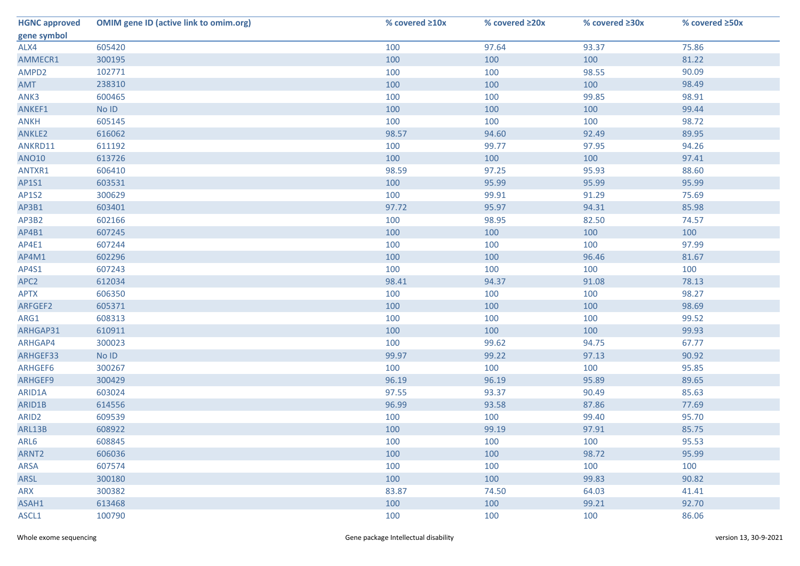| <b>HGNC approved</b> | <b>OMIM gene ID (active link to omim.org)</b> | % covered $\geq 10x$ | % covered ≥20x | % covered ≥30x | % covered ≥50x |
|----------------------|-----------------------------------------------|----------------------|----------------|----------------|----------------|
| gene symbol          |                                               |                      |                |                |                |
| ALX4                 | 605420                                        | 100                  | 97.64          | 93.37          | 75.86          |
| AMMECR1              | 300195                                        | 100                  | 100            | 100            | 81.22          |
| AMPD2                | 102771                                        | 100                  | 100            | 98.55          | 90.09          |
| AMT                  | 238310                                        | 100                  | 100            | 100            | 98.49          |
| ANK3                 | 600465                                        | 100                  | 100            | 99.85          | 98.91          |
| ANKEF1               | No ID                                         | 100                  | 100            | 100            | 99.44          |
| <b>ANKH</b>          | 605145                                        | 100                  | 100            | 100            | 98.72          |
| ANKLE2               | 616062                                        | 98.57                | 94.60          | 92.49          | 89.95          |
| ANKRD11              | 611192                                        | 100                  | 99.77          | 97.95          | 94.26          |
| <b>ANO10</b>         | 613726                                        | 100                  | 100            | 100            | 97.41          |
| ANTXR1               | 606410                                        | 98.59                | 97.25          | 95.93          | 88.60          |
| AP1S1                | 603531                                        | 100                  | 95.99          | 95.99          | 95.99          |
| <b>AP1S2</b>         | 300629                                        | 100                  | 99.91          | 91.29          | 75.69          |
| AP3B1                | 603401                                        | 97.72                | 95.97          | 94.31          | 85.98          |
| AP3B2                | 602166                                        | 100                  | 98.95          | 82.50          | 74.57          |
| AP4B1                | 607245                                        | 100                  | 100            | 100            | 100            |
| AP4E1                | 607244                                        | 100                  | 100            | 100            | 97.99          |
| AP4M1                | 602296                                        | 100                  | 100            | 96.46          | 81.67          |
| AP4S1                | 607243                                        | 100                  | 100            | 100            | 100            |
| APC <sub>2</sub>     | 612034                                        | 98.41                | 94.37          | 91.08          | 78.13          |
| <b>APTX</b>          | 606350                                        | 100                  | 100            | 100            | 98.27          |
| ARFGEF2              | 605371                                        | 100                  | 100            | 100            | 98.69          |
| ARG1                 | 608313                                        | 100                  | 100            | 100            | 99.52          |
| ARHGAP31             | 610911                                        | 100                  | 100            | 100            | 99.93          |
| ARHGAP4              | 300023                                        | 100                  | 99.62          | 94.75          | 67.77          |
| ARHGEF33             | No ID                                         | 99.97                | 99.22          | 97.13          | 90.92          |
| ARHGEF6              | 300267                                        | 100                  | 100            | 100            | 95.85          |
| ARHGEF9              | 300429                                        | 96.19                | 96.19          | 95.89          | 89.65          |
| ARID1A               | 603024                                        | 97.55                | 93.37          | 90.49          | 85.63          |
| ARID1B               | 614556                                        | 96.99                | 93.58          | 87.86          | 77.69          |
| ARID <sub>2</sub>    | 609539                                        | 100                  | 100            | 99.40          | 95.70          |
| ARL13B               | 608922                                        | 100                  | 99.19          | 97.91          | 85.75          |
| ARL6                 | 608845                                        | 100                  | 100            | 100            | 95.53          |
| ARNT <sub>2</sub>    | 606036                                        | 100                  | 100            | 98.72          | 95.99          |
| <b>ARSA</b>          | 607574                                        | 100                  | 100            | 100            | 100            |
| ARSL                 | 300180                                        | 100                  | 100            | 99.83          | 90.82          |
| ARX                  | 300382                                        | 83.87                | 74.50          | 64.03          | 41.41          |
| ASAH1                | 613468                                        | 100                  | 100            | 99.21          | 92.70          |
| ASCL1                | 100790                                        | 100                  | 100            | 100            | 86.06          |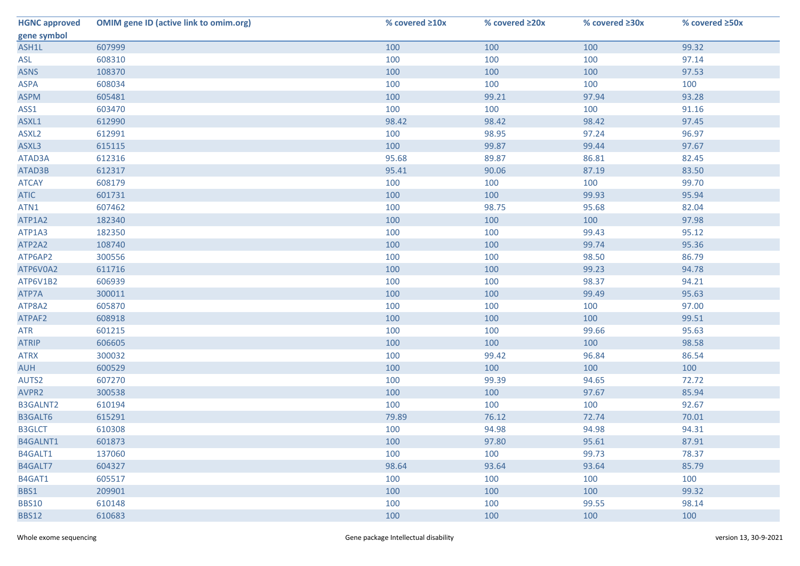| <b>HGNC approved</b> | <b>OMIM gene ID (active link to omim.org)</b> | % covered ≥10x | % covered ≥20x | % covered ≥30x | % covered ≥50x |
|----------------------|-----------------------------------------------|----------------|----------------|----------------|----------------|
| gene symbol          |                                               |                |                |                |                |
| ASH1L                | 607999                                        | 100            | 100            | 100            | 99.32          |
| ASL                  | 608310                                        | 100            | 100            | 100            | 97.14          |
| <b>ASNS</b>          | 108370                                        | 100            | 100            | 100            | 97.53          |
| <b>ASPA</b>          | 608034                                        | 100            | 100            | 100            | 100            |
| <b>ASPM</b>          | 605481                                        | 100            | 99.21          | 97.94          | 93.28          |
| ASS1                 | 603470                                        | 100            | 100            | 100            | 91.16          |
| ASXL1                | 612990                                        | 98.42          | 98.42          | 98.42          | 97.45          |
| ASXL <sub>2</sub>    | 612991                                        | 100            | 98.95          | 97.24          | 96.97          |
| ASXL3                | 615115                                        | 100            | 99.87          | 99.44          | 97.67          |
| ATAD3A               | 612316                                        | 95.68          | 89.87          | 86.81          | 82.45          |
| ATAD3B               | 612317                                        | 95.41          | 90.06          | 87.19          | 83.50          |
| <b>ATCAY</b>         | 608179                                        | 100            | 100            | 100            | 99.70          |
| <b>ATIC</b>          | 601731                                        | 100            | 100            | 99.93          | 95.94          |
| ATN1                 | 607462                                        | 100            | 98.75          | 95.68          | 82.04          |
| ATP1A2               | 182340                                        | 100            | 100            | 100            | 97.98          |
| ATP1A3               | 182350                                        | 100            | 100            | 99.43          | 95.12          |
| ATP2A2               | 108740                                        | 100            | 100            | 99.74          | 95.36          |
| ATP6AP2              | 300556                                        | 100            | 100            | 98.50          | 86.79          |
| ATP6V0A2             | 611716                                        | 100            | 100            | 99.23          | 94.78          |
| ATP6V1B2             | 606939                                        | 100            | 100            | 98.37          | 94.21          |
| ATP7A                | 300011                                        | 100            | 100            | 99.49          | 95.63          |
| ATP8A2               | 605870                                        | 100            | 100            | 100            | 97.00          |
| ATPAF2               | 608918                                        | 100            | 100            | 100            | 99.51          |
| <b>ATR</b>           | 601215                                        | 100            | 100            | 99.66          | 95.63          |
| <b>ATRIP</b>         | 606605                                        | 100            | 100            | 100            | 98.58          |
| <b>ATRX</b>          | 300032                                        | 100            | 99.42          | 96.84          | 86.54          |
| <b>AUH</b>           | 600529                                        | 100            | 100            | 100            | 100            |
| AUTS2                | 607270                                        | 100            | 99.39          | 94.65          | 72.72          |
| AVPR2                | 300538                                        | 100            | 100            | 97.67          | 85.94          |
| B3GALNT2             | 610194                                        | 100            | 100            | 100            | 92.67          |
| B3GALT6              | 615291                                        | 79.89          | 76.12          | 72.74          | 70.01          |
| <b>B3GLCT</b>        | 610308                                        | 100            | 94.98          | 94.98          | 94.31          |
| B4GALNT1             | 601873                                        | 100            | 97.80          | 95.61          | 87.91          |
| B4GALT1              | 137060                                        | 100            | 100            | 99.73          | 78.37          |
| B4GALT7              | 604327                                        | 98.64          | 93.64          | 93.64          | 85.79          |
| B4GAT1               | 605517                                        | 100            | 100            | 100            | 100            |
| BBS1                 | 209901                                        | 100            | 100            | 100            | 99.32          |
| <b>BBS10</b>         | 610148                                        | 100            | 100            | 99.55          | 98.14          |
| <b>BBS12</b>         | 610683                                        | 100            | 100            | 100            | 100            |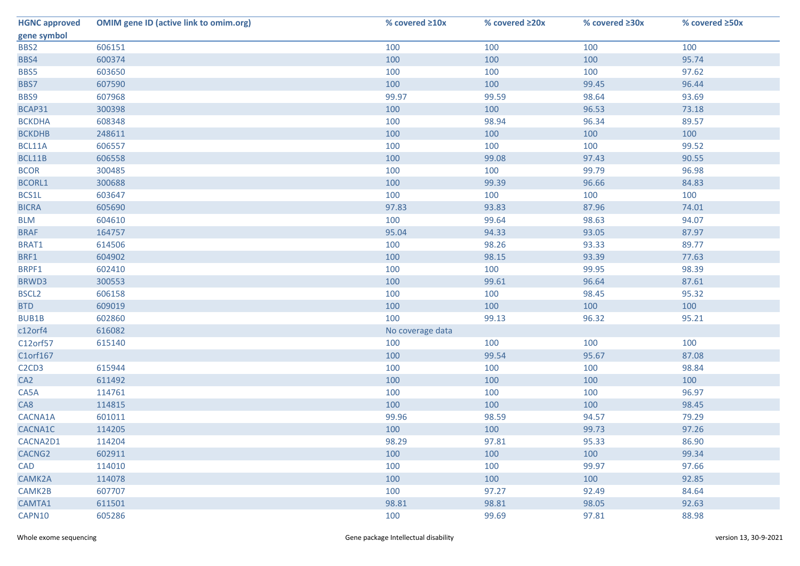| <b>HGNC approved</b>                       | <b>OMIM gene ID (active link to omim.org)</b> | % covered ≥10x   | % covered ≥20x | % covered ≥30x | % covered ≥50x |
|--------------------------------------------|-----------------------------------------------|------------------|----------------|----------------|----------------|
| gene symbol                                |                                               |                  |                |                |                |
| BBS2                                       | 606151                                        | 100              | 100            | 100            | 100            |
| BBS4                                       | 600374                                        | 100              | 100            | 100            | 95.74          |
| BBS5                                       | 603650                                        | 100              | 100            | 100            | 97.62          |
| BBS7                                       | 607590                                        | 100              | 100            | 99.45          | 96.44          |
| BBS9                                       | 607968                                        | 99.97            | 99.59          | 98.64          | 93.69          |
| BCAP31                                     | 300398                                        | 100              | 100            | 96.53          | 73.18          |
| <b>BCKDHA</b>                              | 608348                                        | 100              | 98.94          | 96.34          | 89.57          |
| <b>BCKDHB</b>                              | 248611                                        | 100              | 100            | 100            | 100            |
| BCL11A                                     | 606557                                        | 100              | 100            | 100            | 99.52          |
| BCL11B                                     | 606558                                        | 100              | 99.08          | 97.43          | 90.55          |
| <b>BCOR</b>                                | 300485                                        | 100              | 100            | 99.79          | 96.98          |
| <b>BCORL1</b>                              | 300688                                        | 100              | 99.39          | 96.66          | 84.83          |
| BCS1L                                      | 603647                                        | 100              | 100            | 100            | 100            |
| <b>BICRA</b>                               | 605690                                        | 97.83            | 93.83          | 87.96          | 74.01          |
| <b>BLM</b>                                 | 604610                                        | 100              | 99.64          | 98.63          | 94.07          |
| <b>BRAF</b>                                | 164757                                        | 95.04            | 94.33          | 93.05          | 87.97          |
| BRAT1                                      | 614506                                        | 100              | 98.26          | 93.33          | 89.77          |
| BRF1                                       | 604902                                        | 100              | 98.15          | 93.39          | 77.63          |
| BRPF1                                      | 602410                                        | 100              | 100            | 99.95          | 98.39          |
| BRWD3                                      | 300553                                        | 100              | 99.61          | 96.64          | 87.61          |
| BSCL <sub>2</sub>                          | 606158                                        | 100              | 100            | 98.45          | 95.32          |
| <b>BTD</b>                                 | 609019                                        | 100              | 100            | 100            | 100            |
| BUB1B                                      | 602860                                        | 100              | 99.13          | 96.32          | 95.21          |
| c12orf4                                    | 616082                                        | No coverage data |                |                |                |
| C12orf57                                   | 615140                                        | 100              | 100            | 100            | 100            |
| C1orf167                                   |                                               | 100              | 99.54          | 95.67          | 87.08          |
| C <sub>2</sub> C <sub>D</sub> <sub>3</sub> | 615944                                        | 100              | 100            | 100            | 98.84          |
| CA <sub>2</sub>                            | 611492                                        | 100              | 100            | 100            | 100            |
| CA5A                                       | 114761                                        | 100              | 100            | 100            | 96.97          |
| CA8                                        | 114815                                        | 100              | 100            | 100            | 98.45          |
| CACNA1A                                    | 601011                                        | 99.96            | 98.59          | 94.57          | 79.29          |
| CACNA1C                                    | 114205                                        | 100              | 100            | 99.73          | 97.26          |
| CACNA2D1                                   | 114204                                        | 98.29            | 97.81          | 95.33          | 86.90          |
| CACNG <sub>2</sub>                         | 602911                                        | 100              | 100            | 100            | 99.34          |
| <b>CAD</b>                                 | 114010                                        | 100              | 100            | 99.97          | 97.66          |
| CAMK2A                                     | 114078                                        | 100              | 100            | 100            | 92.85          |
| CAMK2B                                     | 607707                                        | 100              | 97.27          | 92.49          | 84.64          |
| CAMTA1                                     | 611501                                        | 98.81            | 98.81          | 98.05          | 92.63          |
| CAPN10                                     | 605286                                        | 100              | 99.69          | 97.81          | 88.98          |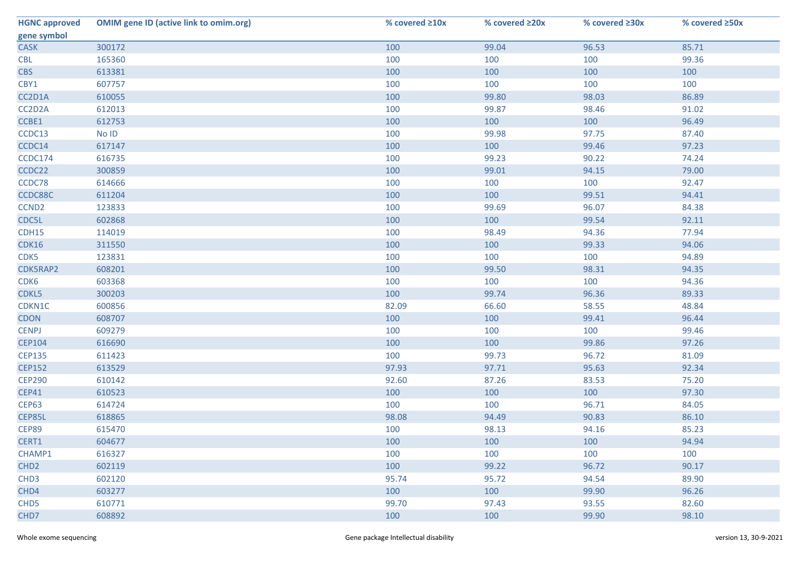| <b>HGNC approved</b> | <b>OMIM gene ID (active link to omim.org)</b> | % covered ≥10x | % covered ≥20x | % covered ≥30x | % covered ≥50x |
|----------------------|-----------------------------------------------|----------------|----------------|----------------|----------------|
| gene symbol          |                                               |                |                |                |                |
| <b>CASK</b>          | 300172                                        | 100            | 99.04          | 96.53          | 85.71          |
| <b>CBL</b>           | 165360                                        | 100            | 100            | 100            | 99.36          |
| <b>CBS</b>           | 613381                                        | 100            | 100            | 100            | 100            |
| CBY1                 | 607757                                        | 100            | 100            | 100            | 100            |
| CC2D1A               | 610055                                        | 100            | 99.80          | 98.03          | 86.89          |
| CC2D2A               | 612013                                        | 100            | 99.87          | 98.46          | 91.02          |
| CCBE1                | 612753                                        | 100            | 100            | 100            | 96.49          |
| CCDC13               | No ID                                         | 100            | 99.98          | 97.75          | 87.40          |
| CCDC14               | 617147                                        | 100            | 100            | 99.46          | 97.23          |
| CCDC174              | 616735                                        | 100            | 99.23          | 90.22          | 74.24          |
| CCDC22               | 300859                                        | 100            | 99.01          | 94.15          | 79.00          |
| CCDC78               | 614666                                        | 100            | 100            | 100            | 92.47          |
| CCDC88C              | 611204                                        | 100            | 100            | 99.51          | 94.41          |
| CCND <sub>2</sub>    | 123833                                        | 100            | 99.69          | 96.07          | 84.38          |
| CDC5L                | 602868                                        | 100            | 100            | 99.54          | 92.11          |
| CDH15                | 114019                                        | 100            | 98.49          | 94.36          | 77.94          |
| CDK16                | 311550                                        | 100            | 100            | 99.33          | 94.06          |
| CDK5                 | 123831                                        | 100            | 100            | 100            | 94.89          |
| CDK5RAP2             | 608201                                        | 100            | 99.50          | 98.31          | 94.35          |
| CDK6                 | 603368                                        | 100            | 100            | 100            | 94.36          |
| CDKL5                | 300203                                        | 100            | 99.74          | 96.36          | 89.33          |
| CDKN1C               | 600856                                        | 82.09          | 66.60          | 58.55          | 48.84          |
| <b>CDON</b>          | 608707                                        | 100            | 100            | 99.41          | 96.44          |
| <b>CENPJ</b>         | 609279                                        | 100            | 100            | 100            | 99.46          |
| <b>CEP104</b>        | 616690                                        | 100            | 100            | 99.86          | 97.26          |
| <b>CEP135</b>        | 611423                                        | 100            | 99.73          | 96.72          | 81.09          |
| <b>CEP152</b>        | 613529                                        | 97.93          | 97.71          | 95.63          | 92.34          |
| <b>CEP290</b>        | 610142                                        | 92.60          | 87.26          | 83.53          | 75.20          |
| <b>CEP41</b>         | 610523                                        | 100            | 100            | 100            | 97.30          |
| <b>CEP63</b>         | 614724                                        | 100            | 100            | 96.71          | 84.05          |
| CEP85L               | 618865                                        | 98.08          | 94.49          | 90.83          | 86.10          |
| CEP89                | 615470                                        | 100            | 98.13          | 94.16          | 85.23          |
| CERT1                | 604677                                        | 100            | 100            | 100            | 94.94          |
| CHAMP1               | 616327                                        | 100            | 100            | 100            | 100            |
| CHD <sub>2</sub>     | 602119                                        | 100            | 99.22          | 96.72          | 90.17          |
| CHD <sub>3</sub>     | 602120                                        | 95.74          | 95.72          | 94.54          | 89.90          |
| CHD4                 | 603277                                        | 100            | 100            | 99.90          | 96.26          |
| CHD <sub>5</sub>     | 610771                                        | 99.70          | 97.43          | 93.55          | 82.60          |
| CHD7                 | 608892                                        | 100            | 100            | 99.90          | 98.10          |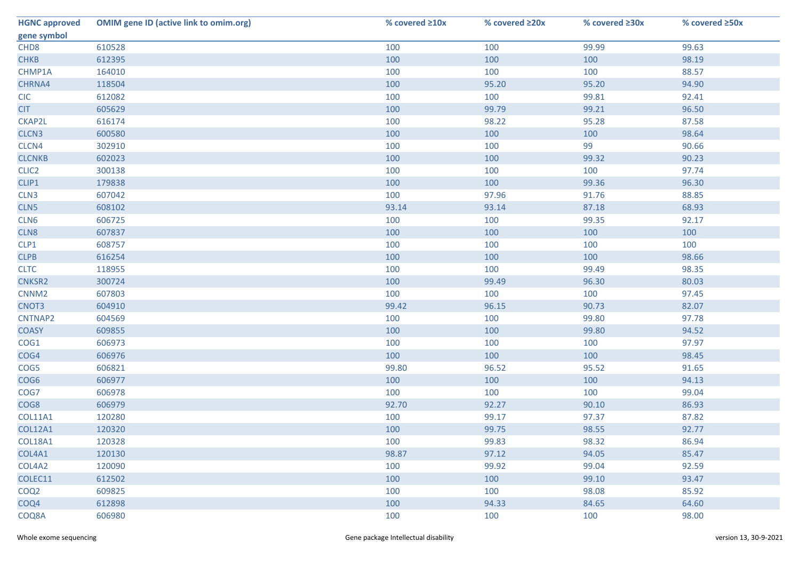| <b>HGNC approved</b> | <b>OMIM gene ID (active link to omim.org)</b> | % covered ≥10x | % covered ≥20x | % covered ≥30x | % covered ≥50x |
|----------------------|-----------------------------------------------|----------------|----------------|----------------|----------------|
| gene symbol          |                                               |                |                |                |                |
| CHD <sub>8</sub>     | 610528                                        | 100            | 100            | 99.99          | 99.63          |
| <b>CHKB</b>          | 612395                                        | 100            | 100            | 100            | 98.19          |
| CHMP1A               | 164010                                        | 100            | 100            | 100            | 88.57          |
| CHRNA4               | 118504                                        | 100            | 95.20          | 95.20          | 94.90          |
| <b>CIC</b>           | 612082                                        | 100            | 100            | 99.81          | 92.41          |
| <b>CIT</b>           | 605629                                        | 100            | 99.79          | 99.21          | 96.50          |
| CKAP2L               | 616174                                        | 100            | 98.22          | 95.28          | 87.58          |
| CLCN3                | 600580                                        | 100            | 100            | 100            | 98.64          |
| CLCN4                | 302910                                        | 100            | 100            | 99             | 90.66          |
| <b>CLCNKB</b>        | 602023                                        | 100            | 100            | 99.32          | 90.23          |
| CLIC <sub>2</sub>    | 300138                                        | 100            | 100            | 100            | 97.74          |
| CLIP1                | 179838                                        | 100            | 100            | 99.36          | 96.30          |
| CLN3                 | 607042                                        | 100            | 97.96          | 91.76          | 88.85          |
| CLN5                 | 608102                                        | 93.14          | 93.14          | 87.18          | 68.93          |
| CLN6                 | 606725                                        | 100            | 100            | 99.35          | 92.17          |
| CLN8                 | 607837                                        | 100            | 100            | 100            | 100            |
| CLP1                 | 608757                                        | 100            | 100            | 100            | 100            |
| <b>CLPB</b>          | 616254                                        | 100            | 100            | 100            | 98.66          |
| <b>CLTC</b>          | 118955                                        | 100            | 100            | 99.49          | 98.35          |
| CNKSR2               | 300724                                        | 100            | 99.49          | 96.30          | 80.03          |
| CNNM <sub>2</sub>    | 607803                                        | 100            | 100            | 100            | 97.45          |
| CNOT3                | 604910                                        | 99.42          | 96.15          | 90.73          | 82.07          |
| CNTNAP2              | 604569                                        | 100            | 100            | 99.80          | 97.78          |
| <b>COASY</b>         | 609855                                        | 100            | 100            | 99.80          | 94.52          |
| COG1                 | 606973                                        | 100            | 100            | 100            | 97.97          |
| COG4                 | 606976                                        | 100            | 100            | 100            | 98.45          |
| COG5                 | 606821                                        | 99.80          | 96.52          | 95.52          | 91.65          |
| COG6                 | 606977                                        | 100            | 100            | 100            | 94.13          |
| COG7                 | 606978                                        | 100            | 100            | 100            | 99.04          |
| COG8                 | 606979                                        | 92.70          | 92.27          | 90.10          | 86.93          |
| <b>COL11A1</b>       | 120280                                        | 100            | 99.17          | 97.37          | 87.82          |
| <b>COL12A1</b>       | 120320                                        | 100            | 99.75          | 98.55          | 92.77          |
| COL18A1              | 120328                                        | 100            | 99.83          | 98.32          | 86.94          |
| COL4A1               | 120130                                        | 98.87          | 97.12          | 94.05          | 85.47          |
| COL4A2               | 120090                                        | 100            | 99.92          | 99.04          | 92.59          |
| COLEC11              | 612502                                        | 100            | 100            | 99.10          | 93.47          |
| COQ <sub>2</sub>     | 609825                                        | 100            | 100            | 98.08          | 85.92          |
| COQ4                 | 612898                                        | 100            | 94.33          | 84.65          | 64.60          |
| COQ8A                | 606980                                        | 100            | 100            | 100            | 98.00          |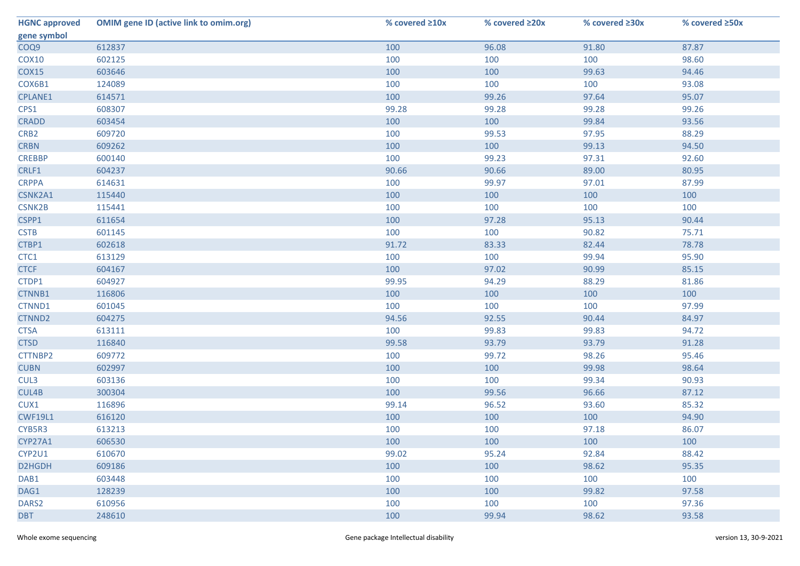| <b>HGNC approved</b> | <b>OMIM gene ID (active link to omim.org)</b> | % covered ≥10x | % covered ≥20x | % covered ≥30x | % covered ≥50x |
|----------------------|-----------------------------------------------|----------------|----------------|----------------|----------------|
| gene symbol          |                                               |                |                |                |                |
| COQ9                 | 612837                                        | 100            | 96.08          | 91.80          | 87.87          |
| <b>COX10</b>         | 602125                                        | 100            | 100            | 100            | 98.60          |
| <b>COX15</b>         | 603646                                        | 100            | 100            | 99.63          | 94.46          |
| COX6B1               | 124089                                        | 100            | 100            | 100            | 93.08          |
| <b>CPLANE1</b>       | 614571                                        | 100            | 99.26          | 97.64          | 95.07          |
| CPS1                 | 608307                                        | 99.28          | 99.28          | 99.28          | 99.26          |
| <b>CRADD</b>         | 603454                                        | 100            | 100            | 99.84          | 93.56          |
| CRB <sub>2</sub>     | 609720                                        | 100            | 99.53          | 97.95          | 88.29          |
| <b>CRBN</b>          | 609262                                        | 100            | 100            | 99.13          | 94.50          |
| <b>CREBBP</b>        | 600140                                        | 100            | 99.23          | 97.31          | 92.60          |
| CRLF1                | 604237                                        | 90.66          | 90.66          | 89.00          | 80.95          |
| <b>CRPPA</b>         | 614631                                        | 100            | 99.97          | 97.01          | 87.99          |
| CSNK2A1              | 115440                                        | 100            | 100            | 100            | 100            |
| <b>CSNK2B</b>        | 115441                                        | 100            | 100            | 100            | 100            |
| CSPP1                | 611654                                        | 100            | 97.28          | 95.13          | 90.44          |
| <b>CSTB</b>          | 601145                                        | 100            | 100            | 90.82          | 75.71          |
| CTBP1                | 602618                                        | 91.72          | 83.33          | 82.44          | 78.78          |
| CTC1                 | 613129                                        | 100            | 100            | 99.94          | 95.90          |
| <b>CTCF</b>          | 604167                                        | 100            | 97.02          | 90.99          | 85.15          |
| CTDP1                | 604927                                        | 99.95          | 94.29          | 88.29          | 81.86          |
| CTNNB1               | 116806                                        | 100            | 100            | 100            | 100            |
| CTNND1               | 601045                                        | 100            | 100            | 100            | 97.99          |
| CTNND2               | 604275                                        | 94.56          | 92.55          | 90.44          | 84.97          |
| <b>CTSA</b>          | 613111                                        | 100            | 99.83          | 99.83          | 94.72          |
| <b>CTSD</b>          | 116840                                        | 99.58          | 93.79          | 93.79          | 91.28          |
| CTTNBP2              | 609772                                        | 100            | 99.72          | 98.26          | 95.46          |
| <b>CUBN</b>          | 602997                                        | 100            | 100            | 99.98          | 98.64          |
| CUL3                 | 603136                                        | 100            | 100            | 99.34          | 90.93          |
| CUL4B                | 300304                                        | 100            | 99.56          | 96.66          | 87.12          |
| CUX1                 | 116896                                        | 99.14          | 96.52          | 93.60          | 85.32          |
| <b>CWF19L1</b>       | 616120                                        | 100            | 100            | 100            | 94.90          |
| CYB5R3               | 613213                                        | 100            | 100            | 97.18          | 86.07          |
| CYP27A1              | 606530                                        | 100            | 100            | 100            | 100            |
| CYP2U1               | 610670                                        | 99.02          | 95.24          | 92.84          | 88.42          |
| D2HGDH               | 609186                                        | 100            | 100            | 98.62          | 95.35          |
| DAB1                 | 603448                                        | 100            | 100            | 100            | 100            |
| DAG1                 | 128239                                        | 100            | 100            | 99.82          | 97.58          |
| DARS <sub>2</sub>    | 610956                                        | 100            | 100            | 100            | 97.36          |
| <b>DBT</b>           | 248610                                        | 100            | 99.94          | 98.62          | 93.58          |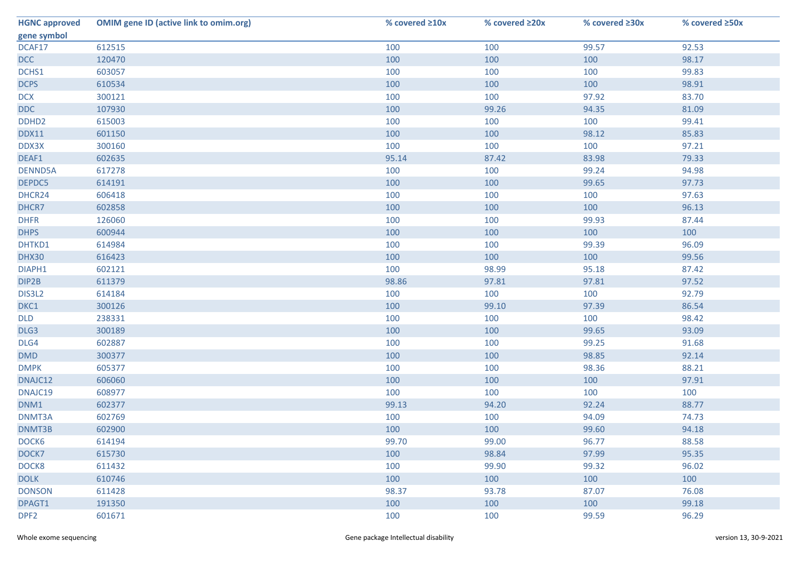| <b>HGNC approved</b> | <b>OMIM gene ID (active link to omim.org)</b> | % covered ≥10x | % covered ≥20x | % covered ≥30x | % covered ≥50x |
|----------------------|-----------------------------------------------|----------------|----------------|----------------|----------------|
| gene symbol          |                                               |                |                |                |                |
| DCAF17               | 612515                                        | 100            | 100            | 99.57          | 92.53          |
| <b>DCC</b>           | 120470                                        | 100            | 100            | 100            | 98.17          |
| DCHS1                | 603057                                        | 100            | 100            | 100            | 99.83          |
| <b>DCPS</b>          | 610534                                        | 100            | 100            | 100            | 98.91          |
| <b>DCX</b>           | 300121                                        | 100            | 100            | 97.92          | 83.70          |
| <b>DDC</b>           | 107930                                        | 100            | 99.26          | 94.35          | 81.09          |
| DDHD <sub>2</sub>    | 615003                                        | 100            | 100            | 100            | 99.41          |
| <b>DDX11</b>         | 601150                                        | 100            | 100            | 98.12          | 85.83          |
| DDX3X                | 300160                                        | 100            | 100            | 100            | 97.21          |
| DEAF1                | 602635                                        | 95.14          | 87.42          | 83.98          | 79.33          |
| DENND5A              | 617278                                        | 100            | 100            | 99.24          | 94.98          |
| DEPDC5               | 614191                                        | 100            | 100            | 99.65          | 97.73          |
| DHCR24               | 606418                                        | 100            | 100            | 100            | 97.63          |
| DHCR7                | 602858                                        | 100            | 100            | 100            | 96.13          |
| <b>DHFR</b>          | 126060                                        | 100            | 100            | 99.93          | 87.44          |
| <b>DHPS</b>          | 600944                                        | 100            | 100            | 100            | 100            |
| DHTKD1               | 614984                                        | 100            | 100            | 99.39          | 96.09          |
| DHX30                | 616423                                        | 100            | 100            | 100            | 99.56          |
| DIAPH1               | 602121                                        | 100            | 98.99          | 95.18          | 87.42          |
| DIP2B                | 611379                                        | 98.86          | 97.81          | 97.81          | 97.52          |
| DIS3L2               | 614184                                        | 100            | 100            | 100            | 92.79          |
| DKC1                 | 300126                                        | 100            | 99.10          | 97.39          | 86.54          |
| <b>DLD</b>           | 238331                                        | 100            | 100            | 100            | 98.42          |
| DLG3                 | 300189                                        | 100            | 100            | 99.65          | 93.09          |
| DLG4                 | 602887                                        | 100            | 100            | 99.25          | 91.68          |
| DMD                  | 300377                                        | 100            | 100            | 98.85          | 92.14          |
| <b>DMPK</b>          | 605377                                        | 100            | 100            | 98.36          | 88.21          |
| DNAJC12              | 606060                                        | 100            | 100            | 100            | 97.91          |
| DNAJC19              | 608977                                        | 100            | 100            | 100            | 100            |
| DNM1                 | 602377                                        | 99.13          | 94.20          | 92.24          | 88.77          |
| DNMT3A               | 602769                                        | 100            | 100            | 94.09          | 74.73          |
| DNMT3B               | 602900                                        | 100            | 100            | 99.60          | 94.18          |
| DOCK6                | 614194                                        | 99.70          | 99.00          | 96.77          | 88.58          |
| DOCK7                | 615730                                        | 100            | 98.84          | 97.99          | 95.35          |
| DOCK8                | 611432                                        | 100            | 99.90          | 99.32          | 96.02          |
| <b>DOLK</b>          | 610746                                        | 100            | 100            | 100            | 100            |
| <b>DONSON</b>        | 611428                                        | 98.37          | 93.78          | 87.07          | 76.08          |
| DPAGT1               | 191350                                        | 100            | 100            | 100            | 99.18          |
| DPF <sub>2</sub>     | 601671                                        | 100            | 100            | 99.59          | 96.29          |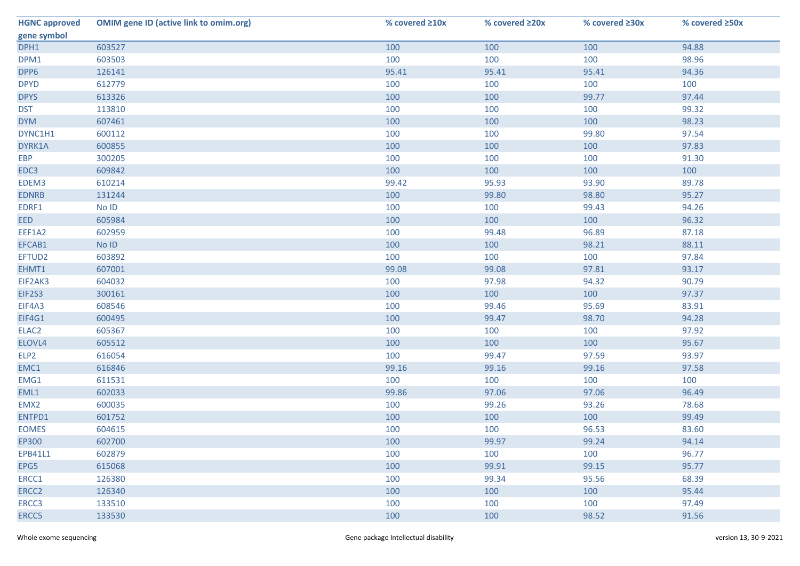| <b>HGNC approved</b> | <b>OMIM gene ID (active link to omim.org)</b> | % covered ≥10x | % covered ≥20x | % covered ≥30x | % covered ≥50x |
|----------------------|-----------------------------------------------|----------------|----------------|----------------|----------------|
| gene symbol          |                                               |                |                |                |                |
| DPH1                 | 603527                                        | 100            | 100            | 100            | 94.88          |
| DPM1                 | 603503                                        | 100            | 100            | 100            | 98.96          |
| DPP6                 | 126141                                        | 95.41          | 95.41          | 95.41          | 94.36          |
| <b>DPYD</b>          | 612779                                        | 100            | 100            | 100            | 100            |
| <b>DPYS</b>          | 613326                                        | 100            | 100            | 99.77          | 97.44          |
| <b>DST</b>           | 113810                                        | 100            | 100            | 100            | 99.32          |
| <b>DYM</b>           | 607461                                        | 100            | 100            | 100            | 98.23          |
| DYNC1H1              | 600112                                        | 100            | 100            | 99.80          | 97.54          |
| DYRK1A               | 600855                                        | 100            | 100            | 100            | 97.83          |
| <b>EBP</b>           | 300205                                        | 100            | 100            | 100            | 91.30          |
| EDC3                 | 609842                                        | 100            | 100            | 100            | 100            |
| EDEM3                | 610214                                        | 99.42          | 95.93          | 93.90          | 89.78          |
| <b>EDNRB</b>         | 131244                                        | 100            | 99.80          | 98.80          | 95.27          |
| EDRF1                | No ID                                         | 100            | 100            | 99.43          | 94.26          |
| <b>EED</b>           | 605984                                        | 100            | 100            | 100            | 96.32          |
| EEF1A2               | 602959                                        | 100            | 99.48          | 96.89          | 87.18          |
| EFCAB1               | No ID                                         | 100            | 100            | 98.21          | 88.11          |
| EFTUD2               | 603892                                        | 100            | 100            | 100            | 97.84          |
| EHMT1                | 607001                                        | 99.08          | 99.08          | 97.81          | 93.17          |
| EIF2AK3              | 604032                                        | 100            | 97.98          | 94.32          | 90.79          |
| EIF2S3               | 300161                                        | 100            | 100            | 100            | 97.37          |
| EIF4A3               | 608546                                        | 100            | 99.46          | 95.69          | 83.91          |
| EIF4G1               | 600495                                        | 100            | 99.47          | 98.70          | 94.28          |
| ELAC <sub>2</sub>    | 605367                                        | 100            | 100            | 100            | 97.92          |
| ELOVL4               | 605512                                        | 100            | 100            | 100            | 95.67          |
| ELP <sub>2</sub>     | 616054                                        | 100            | 99.47          | 97.59          | 93.97          |
| EMC1                 | 616846                                        | 99.16          | 99.16          | 99.16          | 97.58          |
| EMG1                 | 611531                                        | 100            | 100            | 100            | 100            |
| EML1                 | 602033                                        | 99.86          | 97.06          | 97.06          | 96.49          |
| EMX2                 | 600035                                        | 100            | 99.26          | 93.26          | 78.68          |
| ENTPD1               | 601752                                        | 100            | 100            | 100            | 99.49          |
| <b>EOMES</b>         | 604615                                        | 100            | 100            | 96.53          | 83.60          |
| EP300                | 602700                                        | 100            | 99.97          | 99.24          | 94.14          |
| EPB41L1              | 602879                                        | 100            | 100            | 100            | 96.77          |
| EPG5                 | 615068                                        | 100            | 99.91          | 99.15          | 95.77          |
| ERCC1                | 126380                                        | 100            | 99.34          | 95.56          | 68.39          |
| ERCC2                | 126340                                        | 100            | 100            | 100            | 95.44          |
| ERCC3                | 133510                                        | 100            | 100            | 100            | 97.49          |
| ERCC5                | 133530                                        | 100            | 100            | 98.52          | 91.56          |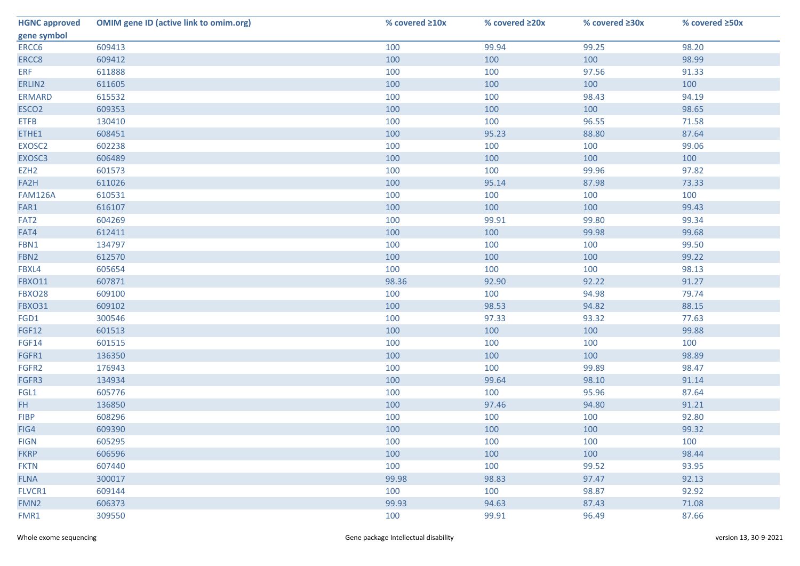| <b>HGNC approved</b> | <b>OMIM gene ID (active link to omim.org)</b> | % covered ≥10x | % covered ≥20x | % covered ≥30x | % covered ≥50x |
|----------------------|-----------------------------------------------|----------------|----------------|----------------|----------------|
| gene symbol          |                                               |                |                |                |                |
| ERCC6                | 609413                                        | 100            | 99.94          | 99.25          | 98.20          |
| ERCC8                | 609412                                        | 100            | 100            | 100            | 98.99          |
| <b>ERF</b>           | 611888                                        | 100            | 100            | 97.56          | 91.33          |
| ERLIN2               | 611605                                        | 100            | 100            | 100            | 100            |
| <b>ERMARD</b>        | 615532                                        | 100            | 100            | 98.43          | 94.19          |
| ESCO <sub>2</sub>    | 609353                                        | 100            | 100            | 100            | 98.65          |
| <b>ETFB</b>          | 130410                                        | 100            | 100            | 96.55          | 71.58          |
| ETHE1                | 608451                                        | 100            | 95.23          | 88.80          | 87.64          |
| EXOSC2               | 602238                                        | 100            | 100            | 100            | 99.06          |
| EXOSC3               | 606489                                        | 100            | 100            | 100            | 100            |
| EZH <sub>2</sub>     | 601573                                        | 100            | 100            | 99.96          | 97.82          |
| FA2H                 | 611026                                        | 100            | 95.14          | 87.98          | 73.33          |
| <b>FAM126A</b>       | 610531                                        | 100            | 100            | 100            | 100            |
| FAR1                 | 616107                                        | 100            | 100            | 100            | 99.43          |
| FAT <sub>2</sub>     | 604269                                        | 100            | 99.91          | 99.80          | 99.34          |
| FAT4                 | 612411                                        | 100            | 100            | 99.98          | 99.68          |
| FBN1                 | 134797                                        | 100            | 100            | 100            | 99.50          |
| FBN <sub>2</sub>     | 612570                                        | 100            | 100            | 100            | 99.22          |
| FBXL4                | 605654                                        | 100            | 100            | 100            | 98.13          |
| <b>FBXO11</b>        | 607871                                        | 98.36          | 92.90          | 92.22          | 91.27          |
| <b>FBXO28</b>        | 609100                                        | 100            | 100            | 94.98          | 79.74          |
| <b>FBXO31</b>        | 609102                                        | 100            | 98.53          | 94.82          | 88.15          |
| FGD1                 | 300546                                        | 100            | 97.33          | 93.32          | 77.63          |
| <b>FGF12</b>         | 601513                                        | 100            | 100            | 100            | 99.88          |
| FGF14                | 601515                                        | 100            | 100            | 100            | 100            |
| FGFR1                | 136350                                        | 100            | 100            | 100            | 98.89          |
| FGFR2                | 176943                                        | 100            | 100            | 99.89          | 98.47          |
| FGFR3                | 134934                                        | 100            | 99.64          | 98.10          | 91.14          |
| FGL1                 | 605776                                        | 100            | 100            | 95.96          | 87.64          |
| FH.                  | 136850                                        | 100            | 97.46          | 94.80          | 91.21          |
| <b>FIBP</b>          | 608296                                        | 100            | 100            | 100            | 92.80          |
| FIG4                 | 609390                                        | 100            | 100            | 100            | 99.32          |
| <b>FIGN</b>          | 605295                                        | 100            | 100            | 100            | 100            |
| <b>FKRP</b>          | 606596                                        | 100            | 100            | 100            | 98.44          |
| <b>FKTN</b>          | 607440                                        | 100            | 100            | 99.52          | 93.95          |
| <b>FLNA</b>          | 300017                                        | 99.98          | 98.83          | 97.47          | 92.13          |
| FLVCR1               | 609144                                        | 100            | 100            | 98.87          | 92.92          |
| FMN <sub>2</sub>     | 606373                                        | 99.93          | 94.63          | 87.43          | 71.08          |
| FMR1                 | 309550                                        | 100            | 99.91          | 96.49          | 87.66          |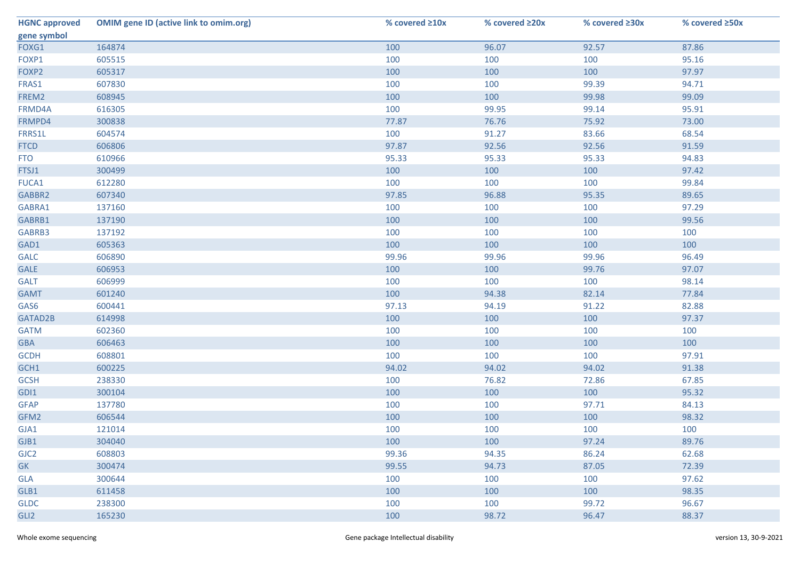| <b>HGNC approved</b> | <b>OMIM gene ID (active link to omim.org)</b> | % covered ≥10x | % covered ≥20x | % covered ≥30x | % covered ≥50x |
|----------------------|-----------------------------------------------|----------------|----------------|----------------|----------------|
| gene symbol          |                                               |                |                |                |                |
| FOXG1                | 164874                                        | 100            | 96.07          | 92.57          | 87.86          |
| FOXP1                | 605515                                        | 100            | 100            | 100            | 95.16          |
| FOXP2                | 605317                                        | 100            | 100            | 100            | 97.97          |
| FRAS1                | 607830                                        | 100            | 100            | 99.39          | 94.71          |
| FREM2                | 608945                                        | 100            | 100            | 99.98          | 99.09          |
| FRMD4A               | 616305                                        | 100            | 99.95          | 99.14          | 95.91          |
| FRMPD4               | 300838                                        | 77.87          | 76.76          | 75.92          | 73.00          |
| FRRS1L               | 604574                                        | 100            | 91.27          | 83.66          | 68.54          |
| <b>FTCD</b>          | 606806                                        | 97.87          | 92.56          | 92.56          | 91.59          |
| <b>FTO</b>           | 610966                                        | 95.33          | 95.33          | 95.33          | 94.83          |
| FTSJ1                | 300499                                        | 100            | 100            | 100            | 97.42          |
| FUCA1                | 612280                                        | 100            | 100            | 100            | 99.84          |
| GABBR2               | 607340                                        | 97.85          | 96.88          | 95.35          | 89.65          |
| GABRA1               | 137160                                        | 100            | 100            | 100            | 97.29          |
| GABRB1               | 137190                                        | 100            | 100            | 100            | 99.56          |
| GABRB3               | 137192                                        | 100            | 100            | 100            | 100            |
| GAD1                 | 605363                                        | 100            | 100            | 100            | 100            |
| <b>GALC</b>          | 606890                                        | 99.96          | 99.96          | 99.96          | 96.49          |
| <b>GALE</b>          | 606953                                        | 100            | 100            | 99.76          | 97.07          |
| <b>GALT</b>          | 606999                                        | 100            | 100            | 100            | 98.14          |
| <b>GAMT</b>          | 601240                                        | 100            | 94.38          | 82.14          | 77.84          |
| GAS6                 | 600441                                        | 97.13          | 94.19          | 91.22          | 82.88          |
| GATAD2B              | 614998                                        | 100            | 100            | 100            | 97.37          |
| <b>GATM</b>          | 602360                                        | 100            | 100            | 100            | 100            |
| <b>GBA</b>           | 606463                                        | 100            | 100            | 100            | 100            |
| <b>GCDH</b>          | 608801                                        | 100            | 100            | 100            | 97.91          |
| GCH1                 | 600225                                        | 94.02          | 94.02          | 94.02          | 91.38          |
| <b>GCSH</b>          | 238330                                        | 100            | 76.82          | 72.86          | 67.85          |
| GDI1                 | 300104                                        | 100            | 100            | 100            | 95.32          |
| <b>GFAP</b>          | 137780                                        | 100            | 100            | 97.71          | 84.13          |
| GFM2                 | 606544                                        | 100            | 100            | 100            | 98.32          |
| GJA1                 | 121014                                        | 100            | 100            | 100            | 100            |
| GJB1                 | 304040                                        | 100            | 100            | 97.24          | 89.76          |
| GJC <sub>2</sub>     | 608803                                        | 99.36          | 94.35          | 86.24          | 62.68          |
| <b>GK</b>            | 300474                                        | 99.55          | 94.73          | 87.05          | 72.39          |
| <b>GLA</b>           | 300644                                        | 100            | 100            | 100            | 97.62          |
| GLB1                 | 611458                                        | 100            | 100            | 100            | 98.35          |
| <b>GLDC</b>          | 238300                                        | 100            | 100            | 99.72          | 96.67          |
| GLI <sub>2</sub>     | 165230                                        | 100            | 98.72          | 96.47          | 88.37          |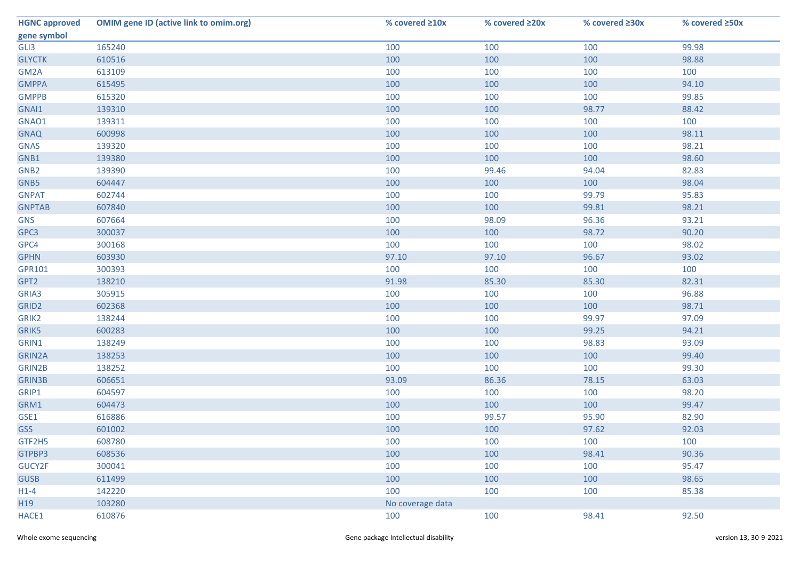| <b>HGNC approved</b> | <b>OMIM gene ID (active link to omim.org)</b> | % covered ≥10x   | % covered ≥20x | % covered ≥30x | % covered ≥50x |
|----------------------|-----------------------------------------------|------------------|----------------|----------------|----------------|
| gene symbol          |                                               |                  |                |                |                |
| GLI3                 | 165240                                        | 100              | 100            | 100            | 99.98          |
| <b>GLYCTK</b>        | 610516                                        | 100              | 100            | 100            | 98.88          |
| GM2A                 | 613109                                        | 100              | 100            | 100            | 100            |
| <b>GMPPA</b>         | 615495                                        | 100              | 100            | 100            | 94.10          |
| <b>GMPPB</b>         | 615320                                        | 100              | 100            | 100            | 99.85          |
| GNAI1                | 139310                                        | 100              | 100            | 98.77          | 88.42          |
| GNAO1                | 139311                                        | 100              | 100            | 100            | 100            |
| <b>GNAQ</b>          | 600998                                        | 100              | 100            | 100            | 98.11          |
| <b>GNAS</b>          | 139320                                        | 100              | 100            | 100            | 98.21          |
| GNB1                 | 139380                                        | 100              | 100            | 100            | 98.60          |
| GNB <sub>2</sub>     | 139390                                        | 100              | 99.46          | 94.04          | 82.83          |
| GNB5                 | 604447                                        | 100              | 100            | 100            | 98.04          |
| <b>GNPAT</b>         | 602744                                        | 100              | 100            | 99.79          | 95.83          |
| <b>GNPTAB</b>        | 607840                                        | 100              | 100            | 99.81          | 98.21          |
| <b>GNS</b>           | 607664                                        | 100              | 98.09          | 96.36          | 93.21          |
| GPC3                 | 300037                                        | 100              | 100            | 98.72          | 90.20          |
| GPC4                 | 300168                                        | 100              | 100            | 100            | 98.02          |
| <b>GPHN</b>          | 603930                                        | 97.10            | 97.10          | 96.67          | 93.02          |
| GPR101               | 300393                                        | 100              | 100            | 100            | 100            |
| GPT2                 | 138210                                        | 91.98            | 85.30          | 85.30          | 82.31          |
| GRIA3                | 305915                                        | 100              | 100            | 100            | 96.88          |
| GRID <sub>2</sub>    | 602368                                        | 100              | 100            | 100            | 98.71          |
| GRIK2                | 138244                                        | 100              | 100            | 99.97          | 97.09          |
| GRIK5                | 600283                                        | 100              | 100            | 99.25          | 94.21          |
| GRIN1                | 138249                                        | 100              | 100            | 98.83          | 93.09          |
| GRIN2A               | 138253                                        | 100              | 100            | 100            | 99.40          |
| GRIN2B               | 138252                                        | 100              | 100            | 100            | 99.30          |
| <b>GRIN3B</b>        | 606651                                        | 93.09            | 86.36          | 78.15          | 63.03          |
| GRIP1                | 604597                                        | 100              | 100            | 100            | 98.20          |
| GRM1                 | 604473                                        | 100              | 100            | 100            | 99.47          |
| GSE1                 | 616886                                        | 100              | 99.57          | 95.90          | 82.90          |
| <b>GSS</b>           | 601002                                        | 100              | 100            | 97.62          | 92.03          |
| GTF2H5               | 608780                                        | 100              | 100            | 100            | 100            |
| GTPBP3               | 608536                                        | 100              | 100            | 98.41          | 90.36          |
| GUCY2F               | 300041                                        | 100              | 100            | 100            | 95.47          |
| <b>GUSB</b>          | 611499                                        | 100              | 100            | 100            | 98.65          |
| $H1-4$               | 142220                                        | 100              | 100            | 100            | 85.38          |
| H19                  | 103280                                        | No coverage data |                |                |                |
| HACE1                | 610876                                        | 100              | 100            | 98.41          | 92.50          |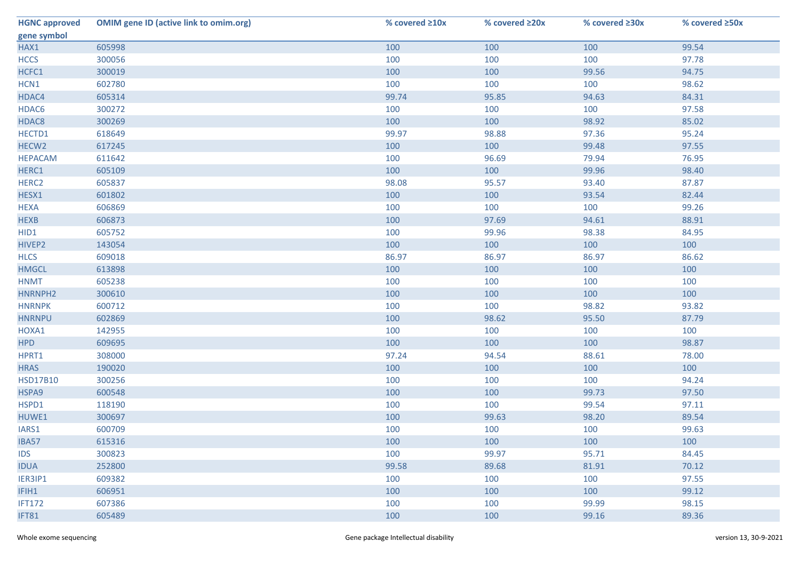| <b>HGNC approved</b> | <b>OMIM gene ID (active link to omim.org)</b> | % covered ≥10x | % covered ≥20x | % covered ≥30x | % covered ≥50x |
|----------------------|-----------------------------------------------|----------------|----------------|----------------|----------------|
| gene symbol          |                                               |                |                |                |                |
| HAX1                 | 605998                                        | 100            | 100            | 100            | 99.54          |
| <b>HCCS</b>          | 300056                                        | 100            | 100            | 100            | 97.78          |
| HCFC1                | 300019                                        | 100            | 100            | 99.56          | 94.75          |
| HCN1                 | 602780                                        | 100            | 100            | 100            | 98.62          |
| HDAC4                | 605314                                        | 99.74          | 95.85          | 94.63          | 84.31          |
| HDAC6                | 300272                                        | 100            | 100            | 100            | 97.58          |
| HDAC8                | 300269                                        | 100            | 100            | 98.92          | 85.02          |
| HECTD1               | 618649                                        | 99.97          | 98.88          | 97.36          | 95.24          |
| HECW <sub>2</sub>    | 617245                                        | 100            | 100            | 99.48          | 97.55          |
| <b>HEPACAM</b>       | 611642                                        | 100            | 96.69          | 79.94          | 76.95          |
| HERC1                | 605109                                        | 100            | 100            | 99.96          | 98.40          |
| HERC <sub>2</sub>    | 605837                                        | 98.08          | 95.57          | 93.40          | 87.87          |
| HESX1                | 601802                                        | 100            | 100            | 93.54          | 82.44          |
| <b>HEXA</b>          | 606869                                        | 100            | 100            | 100            | 99.26          |
| <b>HEXB</b>          | 606873                                        | 100            | 97.69          | 94.61          | 88.91          |
| HID1                 | 605752                                        | 100            | 99.96          | 98.38          | 84.95          |
| HIVEP2               | 143054                                        | 100            | 100            | 100            | 100            |
| <b>HLCS</b>          | 609018                                        | 86.97          | 86.97          | 86.97          | 86.62          |
| <b>HMGCL</b>         | 613898                                        | 100            | 100            | 100            | 100            |
| <b>HNMT</b>          | 605238                                        | 100            | 100            | 100            | 100            |
| HNRNPH2              | 300610                                        | 100            | 100            | 100            | 100            |
| <b>HNRNPK</b>        | 600712                                        | 100            | 100            | 98.82          | 93.82          |
| <b>HNRNPU</b>        | 602869                                        | 100            | 98.62          | 95.50          | 87.79          |
| HOXA1                | 142955                                        | 100            | 100            | 100            | 100            |
| <b>HPD</b>           | 609695                                        | 100            | 100            | 100            | 98.87          |
| HPRT1                | 308000                                        | 97.24          | 94.54          | 88.61          | 78.00          |
| <b>HRAS</b>          | 190020                                        | 100            | 100            | 100            | 100            |
| <b>HSD17B10</b>      | 300256                                        | 100            | 100            | 100            | 94.24          |
| HSPA9                | 600548                                        | 100            | 100            | 99.73          | 97.50          |
| HSPD1                | 118190                                        | 100            | 100            | 99.54          | 97.11          |
| HUWE1                | 300697                                        | 100            | 99.63          | 98.20          | 89.54          |
| IARS1                | 600709                                        | 100            | 100            | 100            | 99.63          |
| <b>IBA57</b>         | 615316                                        | 100            | 100            | 100            | 100            |
| <b>IDS</b>           | 300823                                        | 100            | 99.97          | 95.71          | 84.45          |
| <b>IDUA</b>          | 252800                                        | 99.58          | 89.68          | 81.91          | 70.12          |
| IER3IP1              | 609382                                        | 100            | 100            | 100            | 97.55          |
| IFIH1                | 606951                                        | 100            | 100            | 100            | 99.12          |
| <b>IFT172</b>        | 607386                                        | 100            | 100            | 99.99          | 98.15          |
| IFT81                | 605489                                        | 100            | 100            | 99.16          | 89.36          |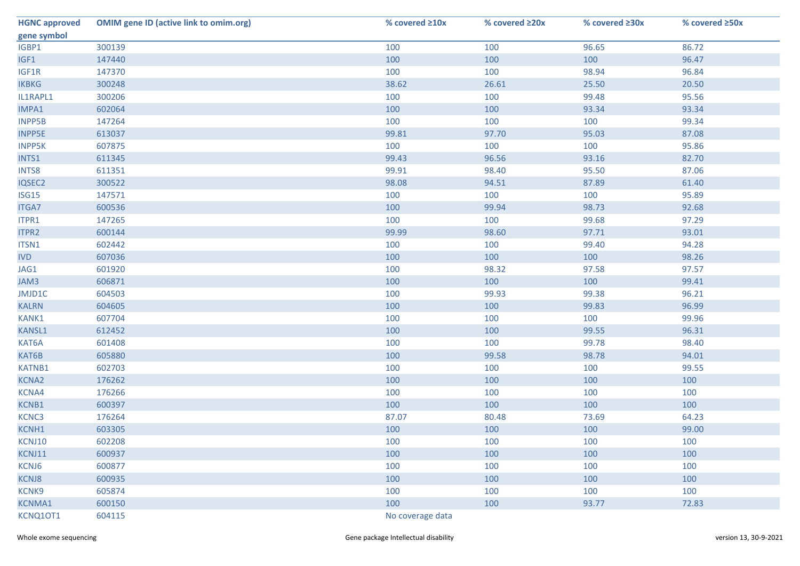| <b>HGNC approved</b> | <b>OMIM gene ID (active link to omim.org)</b> | % covered ≥10x   | % covered ≥20x | % covered ≥30x | % covered ≥50x |
|----------------------|-----------------------------------------------|------------------|----------------|----------------|----------------|
| gene symbol          |                                               |                  |                |                |                |
| IGBP1                | 300139                                        | 100              | 100            | 96.65          | 86.72          |
| IGF1                 | 147440                                        | 100              | 100            | 100            | 96.47          |
| IGF1R                | 147370                                        | 100              | 100            | 98.94          | 96.84          |
| <b>IKBKG</b>         | 300248                                        | 38.62            | 26.61          | 25.50          | 20.50          |
| IL1RAPL1             | 300206                                        | 100              | 100            | 99.48          | 95.56          |
| IMPA1                | 602064                                        | 100              | 100            | 93.34          | 93.34          |
| <b>INPP5B</b>        | 147264                                        | 100              | 100            | 100            | 99.34          |
| <b>INPP5E</b>        | 613037                                        | 99.81            | 97.70          | 95.03          | 87.08          |
| <b>INPP5K</b>        | 607875                                        | 100              | 100            | 100            | 95.86          |
| INTS1                | 611345                                        | 99.43            | 96.56          | 93.16          | 82.70          |
| INTS8                | 611351                                        | 99.91            | 98.40          | 95.50          | 87.06          |
| IQSEC2               | 300522                                        | 98.08            | 94.51          | 87.89          | 61.40          |
| ISG15                | 147571                                        | 100              | 100            | 100            | 95.89          |
| <b>ITGA7</b>         | 600536                                        | 100              | 99.94          | 98.73          | 92.68          |
| ITPR1                | 147265                                        | 100              | 100            | 99.68          | 97.29          |
| ITPR2                | 600144                                        | 99.99            | 98.60          | 97.71          | 93.01          |
| ITSN1                | 602442                                        | 100              | 100            | 99.40          | 94.28          |
| <b>IVD</b>           | 607036                                        | 100              | 100            | 100            | 98.26          |
| JAG1                 | 601920                                        | 100              | 98.32          | 97.58          | 97.57          |
| JAM3                 | 606871                                        | 100              | 100            | 100            | 99.41          |
| JMJD1C               | 604503                                        | 100              | 99.93          | 99.38          | 96.21          |
| <b>KALRN</b>         | 604605                                        | 100              | 100            | 99.83          | 96.99          |
| KANK1                | 607704                                        | 100              | 100            | 100            | 99.96          |
| <b>KANSL1</b>        | 612452                                        | 100              | 100            | 99.55          | 96.31          |
| KAT6A                | 601408                                        | 100              | 100            | 99.78          | 98.40          |
| KAT6B                | 605880                                        | 100              | 99.58          | 98.78          | 94.01          |
| <b>KATNB1</b>        | 602703                                        | 100              | 100            | 100            | 99.55          |
| KCNA2                | 176262                                        | 100              | 100            | 100            | 100            |
| KCNA4                | 176266                                        | 100              | 100            | 100            | 100            |
| KCNB1                | 600397                                        | 100              | 100            | 100            | 100            |
| KCNC3                | 176264                                        | 87.07            | 80.48          | 73.69          | 64.23          |
| KCNH1                | 603305                                        | 100              | 100            | 100            | 99.00          |
| KCNJ10               | 602208                                        | 100              | 100            | 100            | 100            |
| KCNJ11               | 600937                                        | 100              | 100            | 100            | 100            |
| KCNJ6                | 600877                                        | 100              | 100            | 100            | 100            |
| <b>KCNJ8</b>         | 600935                                        | 100              | 100            | 100            | 100            |
| KCNK9                | 605874                                        | 100              | 100            | 100            | 100            |
| <b>KCNMA1</b>        | 600150                                        | 100              | 100            | 93.77          | 72.83          |
| KCNQ10T1             | 604115                                        | No coverage data |                |                |                |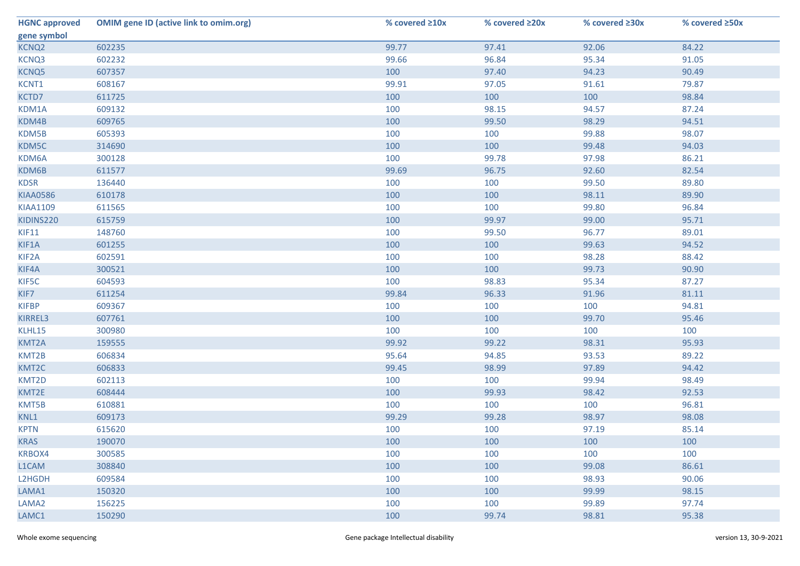| <b>HGNC approved</b> | <b>OMIM gene ID (active link to omim.org)</b> | % covered ≥10x | % covered ≥20x | % covered ≥30x | % covered ≥50x |
|----------------------|-----------------------------------------------|----------------|----------------|----------------|----------------|
| gene symbol          |                                               |                |                |                |                |
| KCNQ <sub>2</sub>    | 602235                                        | 99.77          | 97.41          | 92.06          | 84.22          |
| KCNQ3                | 602232                                        | 99.66          | 96.84          | 95.34          | 91.05          |
| KCNQ5                | 607357                                        | 100            | 97.40          | 94.23          | 90.49          |
| KCNT1                | 608167                                        | 99.91          | 97.05          | 91.61          | 79.87          |
| KCTD7                | 611725                                        | 100            | 100            | 100            | 98.84          |
| KDM1A                | 609132                                        | 100            | 98.15          | 94.57          | 87.24          |
| KDM4B                | 609765                                        | 100            | 99.50          | 98.29          | 94.51          |
| KDM5B                | 605393                                        | 100            | 100            | 99.88          | 98.07          |
| KDM5C                | 314690                                        | 100            | 100            | 99.48          | 94.03          |
| KDM6A                | 300128                                        | 100            | 99.78          | 97.98          | 86.21          |
| KDM6B                | 611577                                        | 99.69          | 96.75          | 92.60          | 82.54          |
| <b>KDSR</b>          | 136440                                        | 100            | 100            | 99.50          | 89.80          |
| <b>KIAA0586</b>      | 610178                                        | 100            | 100            | 98.11          | 89.90          |
| <b>KIAA1109</b>      | 611565                                        | 100            | 100            | 99.80          | 96.84          |
| KIDINS220            | 615759                                        | 100            | 99.97          | 99.00          | 95.71          |
| KIF11                | 148760                                        | 100            | 99.50          | 96.77          | 89.01          |
| KIF1A                | 601255                                        | 100            | 100            | 99.63          | 94.52          |
| KIF <sub>2</sub> A   | 602591                                        | 100            | 100            | 98.28          | 88.42          |
| KIF4A                | 300521                                        | 100            | 100            | 99.73          | 90.90          |
| KIF5C                | 604593                                        | 100            | 98.83          | 95.34          | 87.27          |
| KIF7                 | 611254                                        | 99.84          | 96.33          | 91.96          | 81.11          |
| <b>KIFBP</b>         | 609367                                        | 100            | 100            | 100            | 94.81          |
| KIRREL3              | 607761                                        | 100            | 100            | 99.70          | 95.46          |
| KLHL15               | 300980                                        | 100            | 100            | 100            | 100            |
| KMT2A                | 159555                                        | 99.92          | 99.22          | 98.31          | 95.93          |
| KMT2B                | 606834                                        | 95.64          | 94.85          | 93.53          | 89.22          |
| KMT2C                | 606833                                        | 99.45          | 98.99          | 97.89          | 94.42          |
| KMT2D                | 602113                                        | 100            | 100            | 99.94          | 98.49          |
| KMT2E                | 608444                                        | 100            | 99.93          | 98.42          | 92.53          |
| KMT5B                | 610881                                        | 100            | 100            | 100            | 96.81          |
| KNL1                 | 609173                                        | 99.29          | 99.28          | 98.97          | 98.08          |
| <b>KPTN</b>          | 615620                                        | 100            | 100            | 97.19          | 85.14          |
| <b>KRAS</b>          | 190070                                        | 100            | 100            | 100            | 100            |
| KRBOX4               | 300585                                        | 100            | 100            | 100            | 100            |
| L1CAM                | 308840                                        | 100            | 100            | 99.08          | 86.61          |
| L2HGDH               | 609584                                        | 100            | 100            | 98.93          | 90.06          |
| LAMA1                | 150320                                        | 100            | 100            | 99.99          | 98.15          |
| LAMA <sub>2</sub>    | 156225                                        | 100            | 100            | 99.89          | 97.74          |
| LAMC1                | 150290                                        | 100            | 99.74          | 98.81          | 95.38          |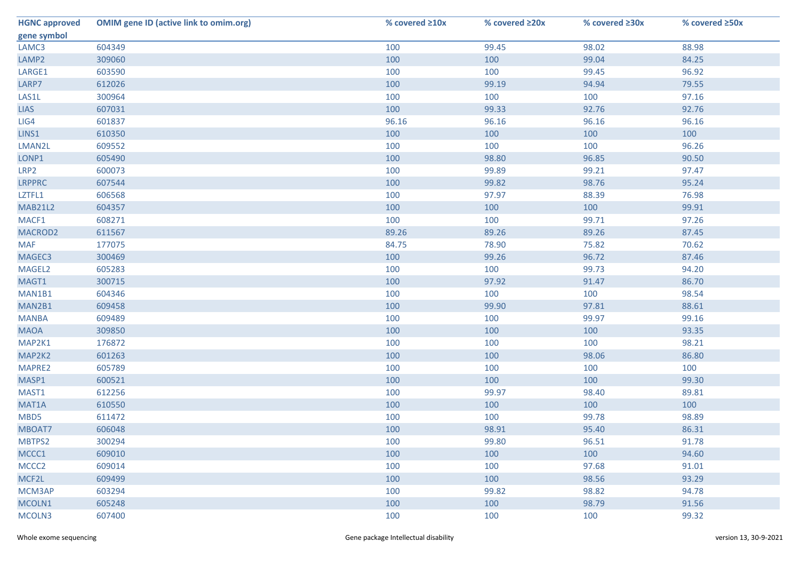| <b>HGNC approved</b> | <b>OMIM gene ID (active link to omim.org)</b> | % covered ≥10x | % covered ≥20x | % covered ≥30x | % covered ≥50x |
|----------------------|-----------------------------------------------|----------------|----------------|----------------|----------------|
| gene symbol          |                                               |                |                |                |                |
| LAMC3                | 604349                                        | 100            | 99.45          | 98.02          | 88.98          |
| LAMP <sub>2</sub>    | 309060                                        | 100            | 100            | 99.04          | 84.25          |
| LARGE1               | 603590                                        | 100            | 100            | 99.45          | 96.92          |
| LARP7                | 612026                                        | 100            | 99.19          | 94.94          | 79.55          |
| LAS1L                | 300964                                        | 100            | 100            | 100            | 97.16          |
| <b>LIAS</b>          | 607031                                        | 100            | 99.33          | 92.76          | 92.76          |
| LIG4                 | 601837                                        | 96.16          | 96.16          | 96.16          | 96.16          |
| LINS1                | 610350                                        | 100            | 100            | 100            | 100            |
| LMAN2L               | 609552                                        | 100            | 100            | 100            | 96.26          |
| LONP1                | 605490                                        | 100            | 98.80          | 96.85          | 90.50          |
| LRP <sub>2</sub>     | 600073                                        | 100            | 99.89          | 99.21          | 97.47          |
| <b>LRPPRC</b>        | 607544                                        | 100            | 99.82          | 98.76          | 95.24          |
| LZTFL1               | 606568                                        | 100            | 97.97          | 88.39          | 76.98          |
| <b>MAB21L2</b>       | 604357                                        | 100            | 100            | 100            | 99.91          |
| MACF1                | 608271                                        | 100            | 100            | 99.71          | 97.26          |
| MACROD2              | 611567                                        | 89.26          | 89.26          | 89.26          | 87.45          |
| <b>MAF</b>           | 177075                                        | 84.75          | 78.90          | 75.82          | 70.62          |
| MAGEC3               | 300469                                        | 100            | 99.26          | 96.72          | 87.46          |
| MAGEL2               | 605283                                        | 100            | 100            | 99.73          | 94.20          |
| MAGT1                | 300715                                        | 100            | 97.92          | 91.47          | 86.70          |
| MAN1B1               | 604346                                        | 100            | 100            | 100            | 98.54          |
| MAN2B1               | 609458                                        | 100            | 99.90          | 97.81          | 88.61          |
| <b>MANBA</b>         | 609489                                        | 100            | 100            | 99.97          | 99.16          |
| <b>MAOA</b>          | 309850                                        | 100            | 100            | 100            | 93.35          |
| MAP2K1               | 176872                                        | 100            | 100            | 100            | 98.21          |
| MAP2K2               | 601263                                        | 100            | 100            | 98.06          | 86.80          |
| MAPRE2               | 605789                                        | 100            | 100            | 100            | 100            |
| MASP1                | 600521                                        | 100            | 100            | 100            | 99.30          |
| MAST1                | 612256                                        | 100            | 99.97          | 98.40          | 89.81          |
| MAT1A                | 610550                                        | 100            | 100            | 100            | 100            |
| MBD5                 | 611472                                        | 100            | 100            | 99.78          | 98.89          |
| MBOAT7               | 606048                                        | 100            | 98.91          | 95.40          | 86.31          |
| MBTPS2               | 300294                                        | 100            | 99.80          | 96.51          | 91.78          |
| MCCC1                | 609010                                        | 100            | 100            | 100            | 94.60          |
| MCCC <sub>2</sub>    | 609014                                        | 100            | 100            | 97.68          | 91.01          |
| MCF2L                | 609499                                        | 100            | 100            | 98.56          | 93.29          |
| MCM3AP               | 603294                                        | 100            | 99.82          | 98.82          | 94.78          |
| MCOLN1               | 605248                                        | 100            | 100            | 98.79          | 91.56          |
| MCOLN3               | 607400                                        | 100            | 100            | 100            | 99.32          |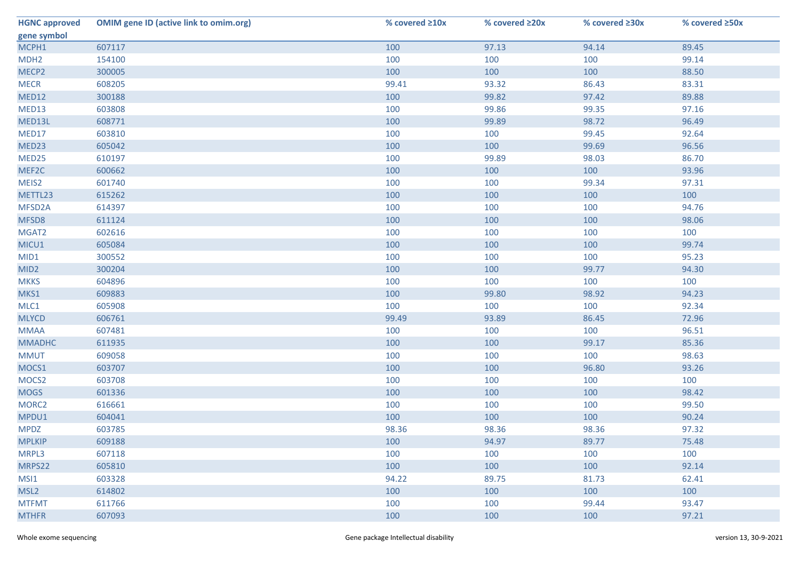| <b>HGNC approved</b> | <b>OMIM gene ID (active link to omim.org)</b> | % covered $\geq 10x$ | % covered ≥20x | % covered ≥30x | % covered ≥50x |
|----------------------|-----------------------------------------------|----------------------|----------------|----------------|----------------|
| gene symbol          |                                               |                      |                |                |                |
| MCPH1                | 607117                                        | 100                  | 97.13          | 94.14          | 89.45          |
| MDH <sub>2</sub>     | 154100                                        | 100                  | 100            | 100            | 99.14          |
| MECP <sub>2</sub>    | 300005                                        | 100                  | 100            | 100            | 88.50          |
| <b>MECR</b>          | 608205                                        | 99.41                | 93.32          | 86.43          | 83.31          |
| MED12                | 300188                                        | 100                  | 99.82          | 97.42          | 89.88          |
| MED13                | 603808                                        | 100                  | 99.86          | 99.35          | 97.16          |
| MED13L               | 608771                                        | 100                  | 99.89          | 98.72          | 96.49          |
| MED17                | 603810                                        | 100                  | 100            | 99.45          | 92.64          |
| MED23                | 605042                                        | 100                  | 100            | 99.69          | 96.56          |
| MED25                | 610197                                        | 100                  | 99.89          | 98.03          | 86.70          |
| MEF2C                | 600662                                        | 100                  | 100            | 100            | 93.96          |
| MEIS2                | 601740                                        | 100                  | 100            | 99.34          | 97.31          |
| METTL23              | 615262                                        | 100                  | 100            | 100            | 100            |
| MFSD2A               | 614397                                        | 100                  | 100            | 100            | 94.76          |
| MFSD8                | 611124                                        | 100                  | 100            | 100            | 98.06          |
| MGAT2                | 602616                                        | 100                  | 100            | 100            | 100            |
| MICU1                | 605084                                        | 100                  | 100            | 100            | 99.74          |
| MID1                 | 300552                                        | 100                  | 100            | 100            | 95.23          |
| MID <sub>2</sub>     | 300204                                        | 100                  | 100            | 99.77          | 94.30          |
| <b>MKKS</b>          | 604896                                        | 100                  | 100            | 100            | 100            |
| MKS1                 | 609883                                        | 100                  | 99.80          | 98.92          | 94.23          |
| MLC1                 | 605908                                        | 100                  | 100            | 100            | 92.34          |
| <b>MLYCD</b>         | 606761                                        | 99.49                | 93.89          | 86.45          | 72.96          |
| <b>MMAA</b>          | 607481                                        | 100                  | 100            | 100            | 96.51          |
| <b>MMADHC</b>        | 611935                                        | 100                  | 100            | 99.17          | 85.36          |
| <b>MMUT</b>          | 609058                                        | 100                  | 100            | 100            | 98.63          |
| MOCS1                | 603707                                        | 100                  | 100            | 96.80          | 93.26          |
| MOCS <sub>2</sub>    | 603708                                        | 100                  | 100            | 100            | 100            |
| <b>MOGS</b>          | 601336                                        | 100                  | 100            | 100            | 98.42          |
| MORC <sub>2</sub>    | 616661                                        | 100                  | 100            | 100            | 99.50          |
| MPDU1                | 604041                                        | 100                  | 100            | 100            | 90.24          |
| <b>MPDZ</b>          | 603785                                        | 98.36                | 98.36          | 98.36          | 97.32          |
| <b>MPLKIP</b>        | 609188                                        | 100                  | 94.97          | 89.77          | 75.48          |
| MRPL3                | 607118                                        | 100                  | 100            | 100            | 100            |
| MRPS22               | 605810                                        | 100                  | 100            | 100            | 92.14          |
| MSI1                 | 603328                                        | 94.22                | 89.75          | 81.73          | 62.41          |
| MSL <sub>2</sub>     | 614802                                        | 100                  | 100            | 100            | 100            |
| <b>MTFMT</b>         | 611766                                        | 100                  | 100            | 99.44          | 93.47          |
| <b>MTHFR</b>         | 607093                                        | 100                  | 100            | 100            | 97.21          |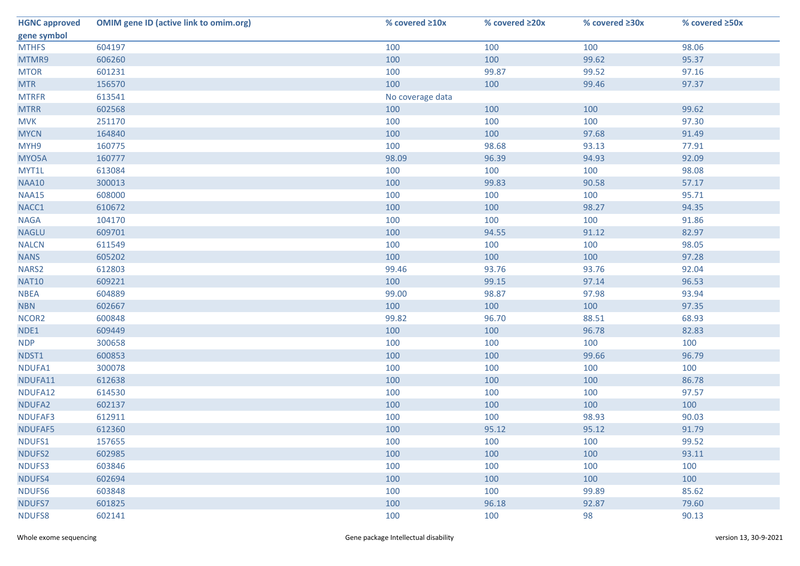| <b>HGNC approved</b> | <b>OMIM gene ID (active link to omim.org)</b> | % covered ≥10x   | % covered ≥20x | % covered ≥30x | % covered ≥50x |
|----------------------|-----------------------------------------------|------------------|----------------|----------------|----------------|
| gene symbol          |                                               |                  |                |                |                |
| <b>MTHFS</b>         | 604197                                        | 100              | 100            | 100            | 98.06          |
| MTMR9                | 606260                                        | 100              | 100            | 99.62          | 95.37          |
| <b>MTOR</b>          | 601231                                        | 100              | 99.87          | 99.52          | 97.16          |
| <b>MTR</b>           | 156570                                        | 100              | 100            | 99.46          | 97.37          |
| <b>MTRFR</b>         | 613541                                        | No coverage data |                |                |                |
| <b>MTRR</b>          | 602568                                        | 100              | 100            | 100            | 99.62          |
| <b>MVK</b>           | 251170                                        | 100              | 100            | 100            | 97.30          |
| <b>MYCN</b>          | 164840                                        | 100              | 100            | 97.68          | 91.49          |
| MYH9                 | 160775                                        | 100              | 98.68          | 93.13          | 77.91          |
| MYO5A                | 160777                                        | 98.09            | 96.39          | 94.93          | 92.09          |
| MYT1L                | 613084                                        | 100              | 100            | 100            | 98.08          |
| <b>NAA10</b>         | 300013                                        | 100              | 99.83          | 90.58          | 57.17          |
| <b>NAA15</b>         | 608000                                        | 100              | 100            | 100            | 95.71          |
| NACC1                | 610672                                        | 100              | 100            | 98.27          | 94.35          |
| <b>NAGA</b>          | 104170                                        | 100              | 100            | 100            | 91.86          |
| <b>NAGLU</b>         | 609701                                        | 100              | 94.55          | 91.12          | 82.97          |
| <b>NALCN</b>         | 611549                                        | 100              | 100            | 100            | 98.05          |
| <b>NANS</b>          | 605202                                        | 100              | 100            | 100            | 97.28          |
| NARS2                | 612803                                        | 99.46            | 93.76          | 93.76          | 92.04          |
| <b>NAT10</b>         | 609221                                        | 100              | 99.15          | 97.14          | 96.53          |
| <b>NBEA</b>          | 604889                                        | 99.00            | 98.87          | 97.98          | 93.94          |
| <b>NBN</b>           | 602667                                        | 100              | 100            | 100            | 97.35          |
| NCOR <sub>2</sub>    | 600848                                        | 99.82            | 96.70          | 88.51          | 68.93          |
| NDE1                 | 609449                                        | 100              | 100            | 96.78          | 82.83          |
| <b>NDP</b>           | 300658                                        | 100              | 100            | 100            | 100            |
| NDST1                | 600853                                        | 100              | 100            | 99.66          | 96.79          |
| NDUFA1               | 300078                                        | 100              | 100            | 100            | 100            |
| NDUFA11              | 612638                                        | 100              | 100            | 100            | 86.78          |
| NDUFA12              | 614530                                        | 100              | 100            | 100            | 97.57          |
| NDUFA2               | 602137                                        | 100              | 100            | 100            | 100            |
| NDUFAF3              | 612911                                        | 100              | 100            | 98.93          | 90.03          |
| NDUFAF5              | 612360                                        | 100              | 95.12          | 95.12          | 91.79          |
| NDUFS1               | 157655                                        | 100              | 100            | 100            | 99.52          |
| NDUFS2               | 602985                                        | 100              | 100            | 100            | 93.11          |
| NDUFS3               | 603846                                        | 100              | 100            | 100            | 100            |
| NDUFS4               | 602694                                        | 100              | 100            | 100            | 100            |
| NDUFS6               | 603848                                        | 100              | 100            | 99.89          | 85.62          |
| NDUFS7               | 601825                                        | 100              | 96.18          | 92.87          | 79.60          |
| NDUFS8               | 602141                                        | 100              | 100            | 98             | 90.13          |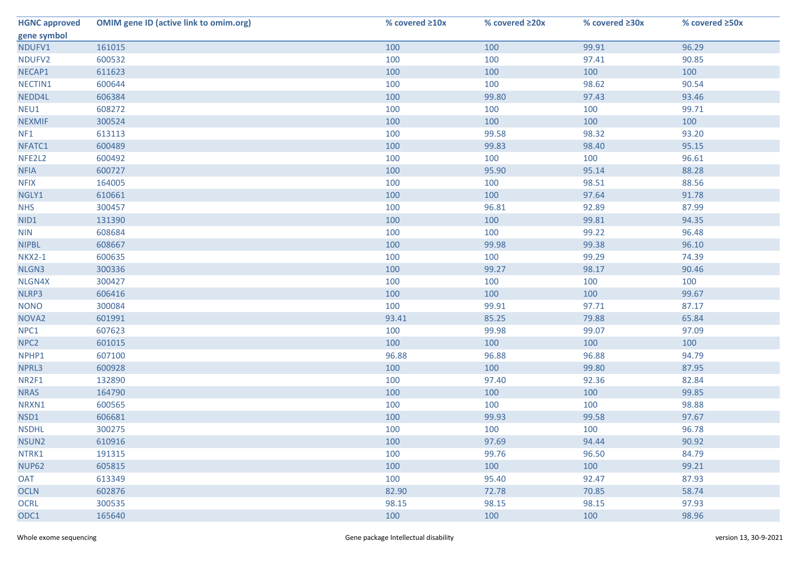| <b>HGNC approved</b> | <b>OMIM gene ID (active link to omim.org)</b> | % covered ≥10x | % covered ≥20x | % covered ≥30x | % covered ≥50x |
|----------------------|-----------------------------------------------|----------------|----------------|----------------|----------------|
| gene symbol          |                                               |                |                |                |                |
| NDUFV1               | 161015                                        | 100            | 100            | 99.91          | 96.29          |
| NDUFV2               | 600532                                        | 100            | 100            | 97.41          | 90.85          |
| NECAP1               | 611623                                        | 100            | 100            | 100            | 100            |
| NECTIN1              | 600644                                        | 100            | 100            | 98.62          | 90.54          |
| NEDD4L               | 606384                                        | 100            | 99.80          | 97.43          | 93.46          |
| NEU1                 | 608272                                        | 100            | 100            | 100            | 99.71          |
| <b>NEXMIF</b>        | 300524                                        | 100            | 100            | 100            | 100            |
| NF1                  | 613113                                        | 100            | 99.58          | 98.32          | 93.20          |
| NFATC1               | 600489                                        | 100            | 99.83          | 98.40          | 95.15          |
| NFE2L2               | 600492                                        | 100            | 100            | 100            | 96.61          |
| <b>NFIA</b>          | 600727                                        | 100            | 95.90          | 95.14          | 88.28          |
| <b>NFIX</b>          | 164005                                        | 100            | 100            | 98.51          | 88.56          |
| NGLY1                | 610661                                        | 100            | 100            | 97.64          | 91.78          |
| <b>NHS</b>           | 300457                                        | 100            | 96.81          | 92.89          | 87.99          |
| NID1                 | 131390                                        | 100            | 100            | 99.81          | 94.35          |
| <b>NIN</b>           | 608684                                        | 100            | 100            | 99.22          | 96.48          |
| <b>NIPBL</b>         | 608667                                        | 100            | 99.98          | 99.38          | 96.10          |
| <b>NKX2-1</b>        | 600635                                        | 100            | 100            | 99.29          | 74.39          |
| NLGN3                | 300336                                        | 100            | 99.27          | 98.17          | 90.46          |
| NLGN4X               | 300427                                        | 100            | 100            | 100            | 100            |
| NLRP3                | 606416                                        | 100            | 100            | 100            | 99.67          |
| <b>NONO</b>          | 300084                                        | 100            | 99.91          | 97.71          | 87.17          |
| NOVA <sub>2</sub>    | 601991                                        | 93.41          | 85.25          | 79.88          | 65.84          |
| NPC1                 | 607623                                        | 100            | 99.98          | 99.07          | 97.09          |
| NPC <sub>2</sub>     | 601015                                        | 100            | 100            | 100            | 100            |
| NPHP1                | 607100                                        | 96.88          | 96.88          | 96.88          | 94.79          |
| NPRL3                | 600928                                        | 100            | 100            | 99.80          | 87.95          |
| NR2F1                | 132890                                        | 100            | 97.40          | 92.36          | 82.84          |
| <b>NRAS</b>          | 164790                                        | 100            | 100            | 100            | 99.85          |
| NRXN1                | 600565                                        | 100            | 100            | 100            | 98.88          |
| NSD1                 | 606681                                        | 100            | 99.93          | 99.58          | 97.67          |
| <b>NSDHL</b>         | 300275                                        | 100            | 100            | 100            | 96.78          |
| NSUN2                | 610916                                        | 100            | 97.69          | 94.44          | 90.92          |
| NTRK1                | 191315                                        | 100            | 99.76          | 96.50          | 84.79          |
| <b>NUP62</b>         | 605815                                        | 100            | 100            | 100            | 99.21          |
| <b>OAT</b>           | 613349                                        | 100            | 95.40          | 92.47          | 87.93          |
| <b>OCLN</b>          | 602876                                        | 82.90          | 72.78          | 70.85          | 58.74          |
| <b>OCRL</b>          | 300535                                        | 98.15          | 98.15          | 98.15          | 97.93          |
| ODC1                 | 165640                                        | 100            | 100            | 100            | 98.96          |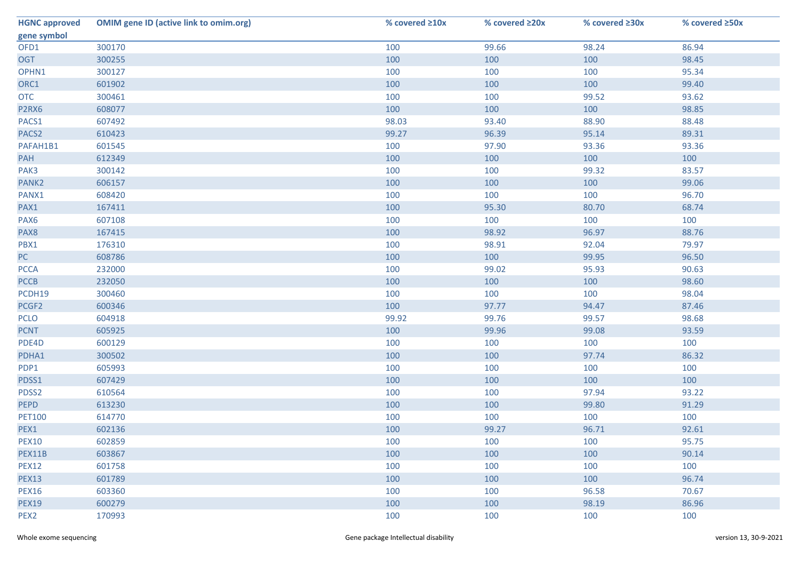| <b>HGNC approved</b> | <b>OMIM gene ID (active link to omim.org)</b> | % covered ≥10x | % covered ≥20x | % covered ≥30x | % covered ≥50x |
|----------------------|-----------------------------------------------|----------------|----------------|----------------|----------------|
| gene symbol          |                                               |                |                |                |                |
| OFD1                 | 300170                                        | 100            | 99.66          | 98.24          | 86.94          |
| <b>OGT</b>           | 300255                                        | 100            | 100            | 100            | 98.45          |
| OPHN1                | 300127                                        | 100            | 100            | 100            | 95.34          |
| ORC1                 | 601902                                        | 100            | 100            | 100            | 99.40          |
| <b>OTC</b>           | 300461                                        | 100            | 100            | 99.52          | 93.62          |
| P2RX6                | 608077                                        | 100            | 100            | 100            | 98.85          |
| PACS1                | 607492                                        | 98.03          | 93.40          | 88.90          | 88.48          |
| PACS <sub>2</sub>    | 610423                                        | 99.27          | 96.39          | 95.14          | 89.31          |
| PAFAH1B1             | 601545                                        | 100            | 97.90          | 93.36          | 93.36          |
| PAH                  | 612349                                        | 100            | 100            | 100            | 100            |
| PAK3                 | 300142                                        | 100            | 100            | 99.32          | 83.57          |
| PANK2                | 606157                                        | 100            | 100            | 100            | 99.06          |
| PANX1                | 608420                                        | 100            | 100            | 100            | 96.70          |
| PAX1                 | 167411                                        | 100            | 95.30          | 80.70          | 68.74          |
| PAX6                 | 607108                                        | 100            | 100            | 100            | 100            |
| PAX8                 | 167415                                        | 100            | 98.92          | 96.97          | 88.76          |
| PBX1                 | 176310                                        | 100            | 98.91          | 92.04          | 79.97          |
| PC                   | 608786                                        | 100            | 100            | 99.95          | 96.50          |
| <b>PCCA</b>          | 232000                                        | 100            | 99.02          | 95.93          | 90.63          |
| <b>PCCB</b>          | 232050                                        | 100            | 100            | 100            | 98.60          |
| PCDH19               | 300460                                        | 100            | 100            | 100            | 98.04          |
| PCGF2                | 600346                                        | 100            | 97.77          | 94.47          | 87.46          |
| <b>PCLO</b>          | 604918                                        | 99.92          | 99.76          | 99.57          | 98.68          |
| <b>PCNT</b>          | 605925                                        | 100            | 99.96          | 99.08          | 93.59          |
| PDE4D                | 600129                                        | 100            | 100            | 100            | 100            |
| PDHA1                | 300502                                        | 100            | 100            | 97.74          | 86.32          |
| PDP1                 | 605993                                        | 100            | 100            | 100            | 100            |
| PDSS1                | 607429                                        | 100            | 100            | 100            | 100            |
| PDSS2                | 610564                                        | 100            | 100            | 97.94          | 93.22          |
| PEPD                 | 613230                                        | 100            | 100            | 99.80          | 91.29          |
| <b>PET100</b>        | 614770                                        | 100            | 100            | 100            | 100            |
| PEX1                 | 602136                                        | 100            | 99.27          | 96.71          | 92.61          |
| <b>PEX10</b>         | 602859                                        | 100            | 100            | 100            | 95.75          |
| PEX11B               | 603867                                        | 100            | 100            | 100            | 90.14          |
| <b>PEX12</b>         | 601758                                        | 100            | 100            | 100            | 100            |
| <b>PEX13</b>         | 601789                                        | 100            | 100            | 100            | 96.74          |
| <b>PEX16</b>         | 603360                                        | 100            | 100            | 96.58          | 70.67          |
| <b>PEX19</b>         | 600279                                        | 100            | 100            | 98.19          | 86.96          |
| PEX <sub>2</sub>     | 170993                                        | 100            | 100            | 100            | 100            |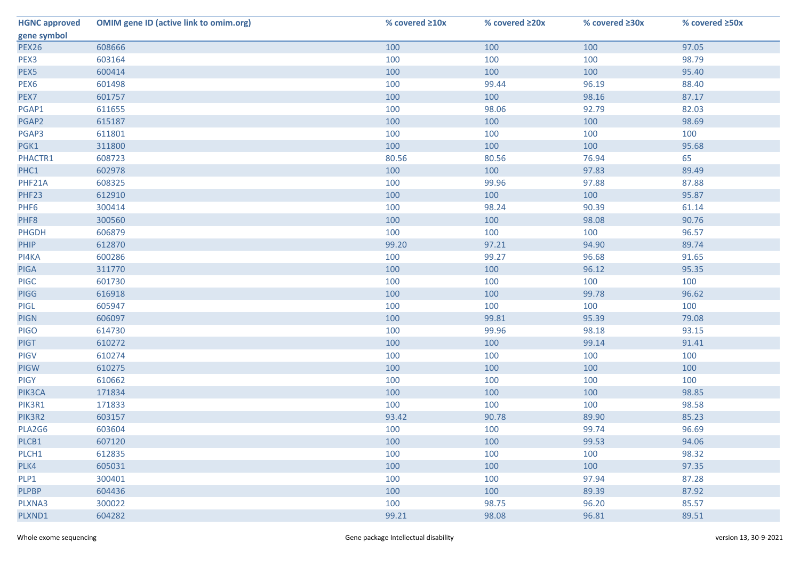| <b>HGNC approved</b> | <b>OMIM gene ID (active link to omim.org)</b> | % covered ≥10x | % covered ≥20x | % covered ≥30x | % covered ≥50x |
|----------------------|-----------------------------------------------|----------------|----------------|----------------|----------------|
| gene symbol          |                                               |                |                |                |                |
| <b>PEX26</b>         | 608666                                        | 100            | 100            | 100            | 97.05          |
| PEX3                 | 603164                                        | 100            | 100            | 100            | 98.79          |
| PEX5                 | 600414                                        | 100            | 100            | 100            | 95.40          |
| PEX <sub>6</sub>     | 601498                                        | 100            | 99.44          | 96.19          | 88.40          |
| PEX7                 | 601757                                        | 100            | 100            | 98.16          | 87.17          |
| PGAP1                | 611655                                        | 100            | 98.06          | 92.79          | 82.03          |
| PGAP2                | 615187                                        | 100            | 100            | 100            | 98.69          |
| PGAP3                | 611801                                        | 100            | 100            | 100            | 100            |
| PGK1                 | 311800                                        | 100            | 100            | 100            | 95.68          |
| PHACTR1              | 608723                                        | 80.56          | 80.56          | 76.94          | 65             |
| PHC1                 | 602978                                        | 100            | 100            | 97.83          | 89.49          |
| PHF21A               | 608325                                        | 100            | 99.96          | 97.88          | 87.88          |
| PHF23                | 612910                                        | 100            | 100            | 100            | 95.87          |
| PHF <sub>6</sub>     | 300414                                        | 100            | 98.24          | 90.39          | 61.14          |
| PHF8                 | 300560                                        | 100            | 100            | 98.08          | 90.76          |
| <b>PHGDH</b>         | 606879                                        | 100            | 100            | 100            | 96.57          |
| PHIP                 | 612870                                        | 99.20          | 97.21          | 94.90          | 89.74          |
| PI4KA                | 600286                                        | 100            | 99.27          | 96.68          | 91.65          |
| <b>PIGA</b>          | 311770                                        | 100            | 100            | 96.12          | 95.35          |
| <b>PIGC</b>          | 601730                                        | 100            | 100            | 100            | 100            |
| <b>PIGG</b>          | 616918                                        | 100            | 100            | 99.78          | 96.62          |
| PIGL                 | 605947                                        | 100            | 100            | 100            | 100            |
| <b>PIGN</b>          | 606097                                        | 100            | 99.81          | 95.39          | 79.08          |
| <b>PIGO</b>          | 614730                                        | 100            | 99.96          | 98.18          | 93.15          |
| <b>PIGT</b>          | 610272                                        | 100            | 100            | 99.14          | 91.41          |
| PIGV                 | 610274                                        | 100            | 100            | 100            | 100            |
| <b>PIGW</b>          | 610275                                        | 100            | 100            | 100            | 100            |
| <b>PIGY</b>          | 610662                                        | 100            | 100            | 100            | 100            |
| PIK3CA               | 171834                                        | 100            | 100            | 100            | 98.85          |
| PIK3R1               | 171833                                        | 100            | 100            | 100            | 98.58          |
| PIK3R2               | 603157                                        | 93.42          | 90.78          | 89.90          | 85.23          |
| PLA2G6               | 603604                                        | 100            | 100            | 99.74          | 96.69          |
| PLCB1                | 607120                                        | 100            | 100            | 99.53          | 94.06          |
| PLCH1                | 612835                                        | 100            | 100            | 100            | 98.32          |
| PLK4                 | 605031                                        | 100            | 100            | 100            | 97.35          |
| PLP1                 | 300401                                        | 100            | 100            | 97.94          | 87.28          |
| <b>PLPBP</b>         | 604436                                        | 100            | 100            | 89.39          | 87.92          |
| PLXNA3               | 300022                                        | 100            | 98.75          | 96.20          | 85.57          |
| PLXND1               | 604282                                        | 99.21          | 98.08          | 96.81          | 89.51          |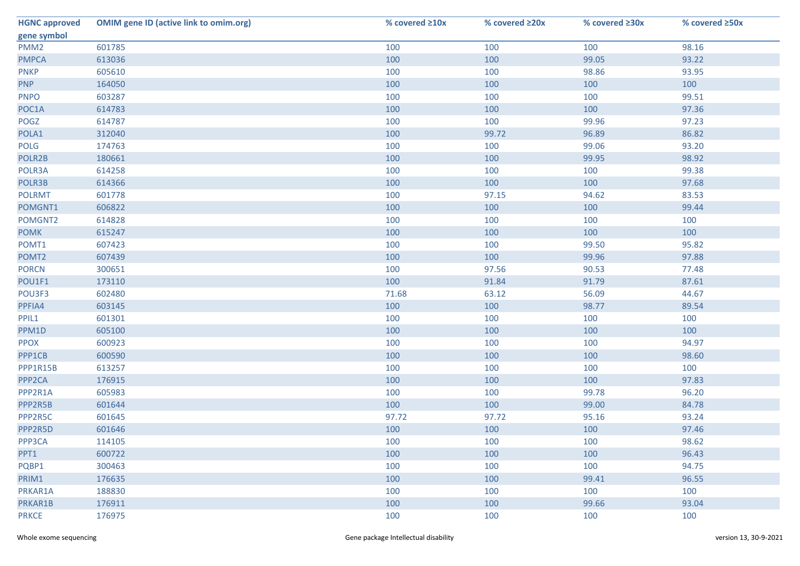| <b>HGNC approved</b> | <b>OMIM gene ID (active link to omim.org)</b> | % covered ≥10x | % covered ≥20x | % covered ≥30x | % covered ≥50x |
|----------------------|-----------------------------------------------|----------------|----------------|----------------|----------------|
| gene symbol          |                                               |                |                |                |                |
| PMM <sub>2</sub>     | 601785                                        | 100            | 100            | 100            | 98.16          |
| <b>PMPCA</b>         | 613036                                        | 100            | 100            | 99.05          | 93.22          |
| <b>PNKP</b>          | 605610                                        | 100            | 100            | 98.86          | 93.95          |
| <b>PNP</b>           | 164050                                        | 100            | 100            | 100            | 100            |
| <b>PNPO</b>          | 603287                                        | 100            | 100            | 100            | 99.51          |
| POC1A                | 614783                                        | 100            | 100            | 100            | 97.36          |
| POGZ                 | 614787                                        | 100            | 100            | 99.96          | 97.23          |
| POLA1                | 312040                                        | 100            | 99.72          | 96.89          | 86.82          |
| <b>POLG</b>          | 174763                                        | 100            | 100            | 99.06          | 93.20          |
| POLR2B               | 180661                                        | 100            | 100            | 99.95          | 98.92          |
| POLR3A               | 614258                                        | 100            | 100            | 100            | 99.38          |
| POLR3B               | 614366                                        | 100            | 100            | 100            | 97.68          |
| <b>POLRMT</b>        | 601778                                        | 100            | 97.15          | 94.62          | 83.53          |
| POMGNT1              | 606822                                        | 100            | 100            | 100            | 99.44          |
| POMGNT2              | 614828                                        | 100            | 100            | 100            | 100            |
| <b>POMK</b>          | 615247                                        | 100            | 100            | 100            | 100            |
| POMT1                | 607423                                        | 100            | 100            | 99.50          | 95.82          |
| POMT <sub>2</sub>    | 607439                                        | 100            | 100            | 99.96          | 97.88          |
| <b>PORCN</b>         | 300651                                        | 100            | 97.56          | 90.53          | 77.48          |
| POU1F1               | 173110                                        | 100            | 91.84          | 91.79          | 87.61          |
| POU3F3               | 602480                                        | 71.68          | 63.12          | 56.09          | 44.67          |
| PPFIA4               | 603145                                        | 100            | 100            | 98.77          | 89.54          |
| PPIL1                | 601301                                        | 100            | 100            | 100            | 100            |
| PPM1D                | 605100                                        | 100            | 100            | 100            | 100            |
| <b>PPOX</b>          | 600923                                        | 100            | 100            | 100            | 94.97          |
| PPP1CB               | 600590                                        | 100            | 100            | 100            | 98.60          |
| PPP1R15B             | 613257                                        | 100            | 100            | 100            | 100            |
| PPP <sub>2</sub> CA  | 176915                                        | 100            | 100            | 100            | 97.83          |
| PPP2R1A              | 605983                                        | 100            | 100            | 99.78          | 96.20          |
| PPP2R5B              | 601644                                        | 100            | 100            | 99.00          | 84.78          |
| PPP2R5C              | 601645                                        | 97.72          | 97.72          | 95.16          | 93.24          |
| PPP2R5D              | 601646                                        | 100            | 100            | 100            | 97.46          |
| PPP3CA               | 114105                                        | 100            | 100            | 100            | 98.62          |
| PPT1                 | 600722                                        | 100            | 100            | 100            | 96.43          |
| PQBP1                | 300463                                        | 100            | 100            | 100            | 94.75          |
| PRIM1                | 176635                                        | 100            | 100            | 99.41          | 96.55          |
| PRKAR1A              | 188830                                        | 100            | 100            | 100            | 100            |
| PRKAR1B              | 176911                                        | 100            | 100            | 99.66          | 93.04          |
| <b>PRKCE</b>         | 176975                                        | 100            | 100            | 100            | 100            |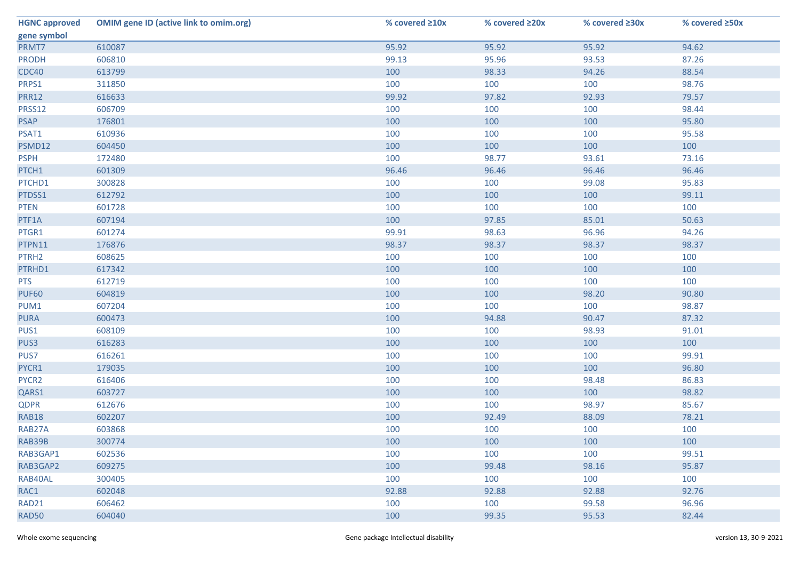| <b>HGNC approved</b> | <b>OMIM gene ID (active link to omim.org)</b> | % covered ≥10x | % covered ≥20x | % covered ≥30x | % covered ≥50x |
|----------------------|-----------------------------------------------|----------------|----------------|----------------|----------------|
| gene symbol          |                                               |                |                |                |                |
| PRMT7                | 610087                                        | 95.92          | 95.92          | 95.92          | 94.62          |
| <b>PRODH</b>         | 606810                                        | 99.13          | 95.96          | 93.53          | 87.26          |
| <b>CDC40</b>         | 613799                                        | 100            | 98.33          | 94.26          | 88.54          |
| PRPS1                | 311850                                        | 100            | 100            | 100            | 98.76          |
| <b>PRR12</b>         | 616633                                        | 99.92          | 97.82          | 92.93          | 79.57          |
| PRSS12               | 606709                                        | 100            | 100            | 100            | 98.44          |
| <b>PSAP</b>          | 176801                                        | 100            | 100            | 100            | 95.80          |
| PSAT1                | 610936                                        | 100            | 100            | 100            | 95.58          |
| PSMD12               | 604450                                        | 100            | 100            | 100            | 100            |
| <b>PSPH</b>          | 172480                                        | 100            | 98.77          | 93.61          | 73.16          |
| PTCH1                | 601309                                        | 96.46          | 96.46          | 96.46          | 96.46          |
| PTCHD1               | 300828                                        | 100            | 100            | 99.08          | 95.83          |
| PTDSS1               | 612792                                        | 100            | 100            | 100            | 99.11          |
| <b>PTEN</b>          | 601728                                        | 100            | 100            | 100            | 100            |
| PTF1A                | 607194                                        | 100            | 97.85          | 85.01          | 50.63          |
| PTGR1                | 601274                                        | 99.91          | 98.63          | 96.96          | 94.26          |
| PTPN11               | 176876                                        | 98.37          | 98.37          | 98.37          | 98.37          |
| PTRH <sub>2</sub>    | 608625                                        | 100            | 100            | 100            | 100            |
| PTRHD1               | 617342                                        | 100            | 100            | 100            | 100            |
| <b>PTS</b>           | 612719                                        | 100            | 100            | 100            | 100            |
| <b>PUF60</b>         | 604819                                        | 100            | 100            | 98.20          | 90.80          |
| PUM1                 | 607204                                        | 100            | 100            | 100            | 98.87          |
| <b>PURA</b>          | 600473                                        | 100            | 94.88          | 90.47          | 87.32          |
| PUS1                 | 608109                                        | 100            | 100            | 98.93          | 91.01          |
| PUS3                 | 616283                                        | 100            | 100            | 100            | 100            |
| PUS7                 | 616261                                        | 100            | 100            | 100            | 99.91          |
| PYCR1                | 179035                                        | 100            | 100            | 100            | 96.80          |
| PYCR2                | 616406                                        | 100            | 100            | 98.48          | 86.83          |
| QARS1                | 603727                                        | 100            | 100            | 100            | 98.82          |
| <b>QDPR</b>          | 612676                                        | 100            | 100            | 98.97          | 85.67          |
| RAB18                | 602207                                        | 100            | 92.49          | 88.09          | 78.21          |
| RAB27A               | 603868                                        | 100            | 100            | 100            | 100            |
| RAB39B               | 300774                                        | 100            | 100            | 100            | 100            |
| RAB3GAP1             | 602536                                        | 100            | 100            | 100            | 99.51          |
| RAB3GAP2             | 609275                                        | 100            | 99.48          | 98.16          | 95.87          |
| RAB40AL              | 300405                                        | 100            | 100            | 100            | 100            |
| RAC1                 | 602048                                        | 92.88          | 92.88          | 92.88          | 92.76          |
| RAD21                | 606462                                        | 100            | 100            | 99.58          | 96.96          |
| <b>RAD50</b>         | 604040                                        | 100            | 99.35          | 95.53          | 82.44          |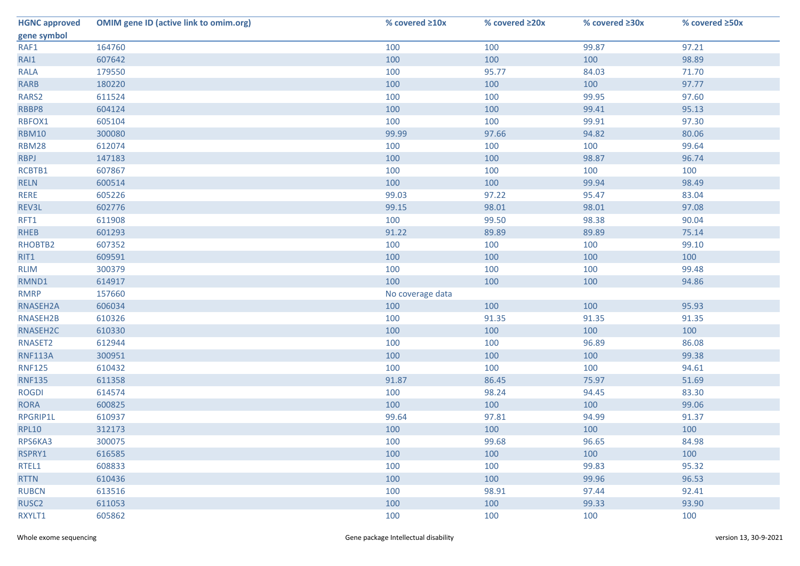| <b>HGNC approved</b> | <b>OMIM gene ID (active link to omim.org)</b> | % covered ≥10x   | % covered ≥20x | % covered ≥30x | % covered ≥50x |
|----------------------|-----------------------------------------------|------------------|----------------|----------------|----------------|
| gene symbol          |                                               |                  |                |                |                |
| RAF1                 | 164760                                        | 100              | 100            | 99.87          | 97.21          |
| RAI1                 | 607642                                        | 100              | 100            | 100            | 98.89          |
| <b>RALA</b>          | 179550                                        | 100              | 95.77          | 84.03          | 71.70          |
| <b>RARB</b>          | 180220                                        | 100              | 100            | 100            | 97.77          |
| RARS2                | 611524                                        | 100              | 100            | 99.95          | 97.60          |
| RBBP8                | 604124                                        | 100              | 100            | 99.41          | 95.13          |
| RBFOX1               | 605104                                        | 100              | 100            | 99.91          | 97.30          |
| <b>RBM10</b>         | 300080                                        | 99.99            | 97.66          | 94.82          | 80.06          |
| <b>RBM28</b>         | 612074                                        | 100              | 100            | 100            | 99.64          |
| <b>RBPJ</b>          | 147183                                        | 100              | 100            | 98.87          | 96.74          |
| RCBTB1               | 607867                                        | 100              | 100            | 100            | 100            |
| <b>RELN</b>          | 600514                                        | 100              | 100            | 99.94          | 98.49          |
| RERE                 | 605226                                        | 99.03            | 97.22          | 95.47          | 83.04          |
| REV3L                | 602776                                        | 99.15            | 98.01          | 98.01          | 97.08          |
| RFT1                 | 611908                                        | 100              | 99.50          | 98.38          | 90.04          |
| <b>RHEB</b>          | 601293                                        | 91.22            | 89.89          | 89.89          | 75.14          |
| RHOBTB2              | 607352                                        | 100              | 100            | 100            | 99.10          |
| RIT1                 | 609591                                        | 100              | 100            | 100            | 100            |
| <b>RLIM</b>          | 300379                                        | 100              | 100            | 100            | 99.48          |
| RMND1                | 614917                                        | 100              | 100            | 100            | 94.86          |
| <b>RMRP</b>          | 157660                                        | No coverage data |                |                |                |
| RNASEH2A             | 606034                                        | 100              | 100            | 100            | 95.93          |
| RNASEH2B             | 610326                                        | 100              | 91.35          | 91.35          | 91.35          |
| RNASEH2C             | 610330                                        | 100              | 100            | 100            | 100            |
| RNASET2              | 612944                                        | 100              | 100            | 96.89          | 86.08          |
| <b>RNF113A</b>       | 300951                                        | 100              | 100            | 100            | 99.38          |
| <b>RNF125</b>        | 610432                                        | 100              | 100            | 100            | 94.61          |
| <b>RNF135</b>        | 611358                                        | 91.87            | 86.45          | 75.97          | 51.69          |
| <b>ROGDI</b>         | 614574                                        | 100              | 98.24          | 94.45          | 83.30          |
| <b>RORA</b>          | 600825                                        | 100              | 100            | 100            | 99.06          |
| RPGRIP1L             | 610937                                        | 99.64            | 97.81          | 94.99          | 91.37          |
| <b>RPL10</b>         | 312173                                        | 100              | 100            | 100            | 100            |
| RPS6KA3              | 300075                                        | 100              | 99.68          | 96.65          | 84.98          |
| RSPRY1               | 616585                                        | 100              | 100            | 100            | 100            |
| RTEL1                | 608833                                        | 100              | 100            | 99.83          | 95.32          |
| <b>RTTN</b>          | 610436                                        | 100              | 100            | 99.96          | 96.53          |
| <b>RUBCN</b>         | 613516                                        | 100              | 98.91          | 97.44          | 92.41          |
| RUSC <sub>2</sub>    | 611053                                        | 100              | 100            | 99.33          | 93.90          |
| RXYLT1               | 605862                                        | 100              | 100            | 100            | 100            |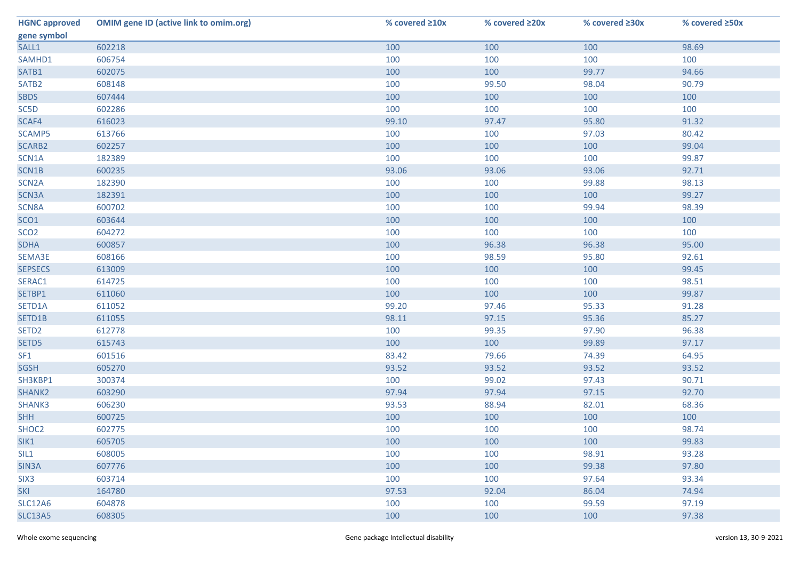| <b>HGNC approved</b> | <b>OMIM gene ID (active link to omim.org)</b> | % covered ≥10x | % covered ≥20x | % covered ≥30x | % covered ≥50x |
|----------------------|-----------------------------------------------|----------------|----------------|----------------|----------------|
| gene symbol          |                                               |                |                |                |                |
| SALL1                | 602218                                        | 100            | 100            | 100            | 98.69          |
| SAMHD1               | 606754                                        | 100            | 100            | 100            | 100            |
| SATB1                | 602075                                        | 100            | 100            | 99.77          | 94.66          |
| SATB <sub>2</sub>    | 608148                                        | 100            | 99.50          | 98.04          | 90.79          |
| <b>SBDS</b>          | 607444                                        | 100            | 100            | 100            | 100            |
| SC5D                 | 602286                                        | 100            | 100            | 100            | 100            |
| SCAF4                | 616023                                        | 99.10          | 97.47          | 95.80          | 91.32          |
| SCAMP5               | 613766                                        | 100            | 100            | 97.03          | 80.42          |
| SCARB2               | 602257                                        | 100            | 100            | 100            | 99.04          |
| SCN1A                | 182389                                        | 100            | 100            | 100            | 99.87          |
| SCN1B                | 600235                                        | 93.06          | 93.06          | 93.06          | 92.71          |
| SCN <sub>2</sub> A   | 182390                                        | 100            | 100            | 99.88          | 98.13          |
| SCN3A                | 182391                                        | 100            | 100            | 100            | 99.27          |
| SCN8A                | 600702                                        | 100            | 100            | 99.94          | 98.39          |
| SCO <sub>1</sub>     | 603644                                        | 100            | 100            | 100            | 100            |
| SCO <sub>2</sub>     | 604272                                        | 100            | 100            | 100            | 100            |
| <b>SDHA</b>          | 600857                                        | 100            | 96.38          | 96.38          | 95.00          |
| SEMA3E               | 608166                                        | 100            | 98.59          | 95.80          | 92.61          |
| <b>SEPSECS</b>       | 613009                                        | 100            | 100            | 100            | 99.45          |
| SERAC1               | 614725                                        | 100            | 100            | 100            | 98.51          |
| SETBP1               | 611060                                        | 100            | 100            | 100            | 99.87          |
| SETD1A               | 611052                                        | 99.20          | 97.46          | 95.33          | 91.28          |
| SETD1B               | 611055                                        | 98.11          | 97.15          | 95.36          | 85.27          |
| SETD <sub>2</sub>    | 612778                                        | 100            | 99.35          | 97.90          | 96.38          |
| SETD5                | 615743                                        | 100            | 100            | 99.89          | 97.17          |
| SF <sub>1</sub>      | 601516                                        | 83.42          | 79.66          | 74.39          | 64.95          |
| <b>SGSH</b>          | 605270                                        | 93.52          | 93.52          | 93.52          | 93.52          |
| SH3KBP1              | 300374                                        | 100            | 99.02          | 97.43          | 90.71          |
| SHANK2               | 603290                                        | 97.94          | 97.94          | 97.15          | 92.70          |
| SHANK3               | 606230                                        | 93.53          | 88.94          | 82.01          | 68.36          |
| <b>SHH</b>           | 600725                                        | 100            | 100            | 100            | 100            |
| SHOC2                | 602775                                        | 100            | 100            | 100            | 98.74          |
| SIK1                 | 605705                                        | 100            | 100            | 100            | 99.83          |
| SIL1                 | 608005                                        | 100            | 100            | 98.91          | 93.28          |
| SIN3A                | 607776                                        | 100            | 100            | 99.38          | 97.80          |
| SIX <sub>3</sub>     | 603714                                        | 100            | 100            | 97.64          | 93.34          |
| <b>SKI</b>           | 164780                                        | 97.53          | 92.04          | 86.04          | 74.94          |
| <b>SLC12A6</b>       | 604878                                        | 100            | 100            | 99.59          | 97.19          |
| <b>SLC13A5</b>       | 608305                                        | 100            | 100            | 100            | 97.38          |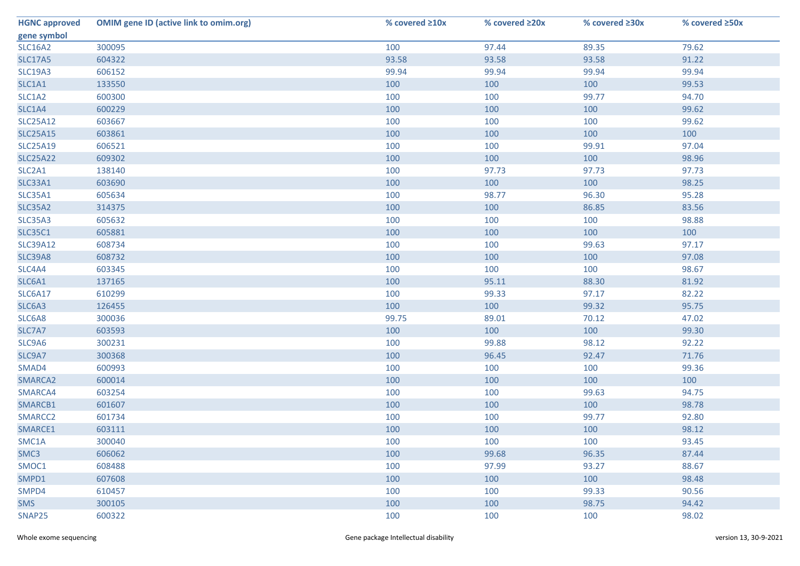| <b>HGNC approved</b> | <b>OMIM gene ID (active link to omim.org)</b> | % covered ≥10x | % covered ≥20x | % covered ≥30x | % covered ≥50x |
|----------------------|-----------------------------------------------|----------------|----------------|----------------|----------------|
| gene symbol          |                                               |                |                |                |                |
| <b>SLC16A2</b>       | 300095                                        | 100            | 97.44          | 89.35          | 79.62          |
| <b>SLC17A5</b>       | 604322                                        | 93.58          | 93.58          | 93.58          | 91.22          |
| <b>SLC19A3</b>       | 606152                                        | 99.94          | 99.94          | 99.94          | 99.94          |
| SLC1A1               | 133550                                        | 100            | 100            | 100            | 99.53          |
| SLC1A2               | 600300                                        | 100            | 100            | 99.77          | 94.70          |
| SLC1A4               | 600229                                        | 100            | 100            | 100            | 99.62          |
| <b>SLC25A12</b>      | 603667                                        | 100            | 100            | 100            | 99.62          |
| <b>SLC25A15</b>      | 603861                                        | 100            | 100            | 100            | 100            |
| <b>SLC25A19</b>      | 606521                                        | 100            | 100            | 99.91          | 97.04          |
| <b>SLC25A22</b>      | 609302                                        | 100            | 100            | 100            | 98.96          |
| SLC2A1               | 138140                                        | 100            | 97.73          | 97.73          | 97.73          |
| <b>SLC33A1</b>       | 603690                                        | 100            | 100            | 100            | 98.25          |
| <b>SLC35A1</b>       | 605634                                        | 100            | 98.77          | 96.30          | 95.28          |
| <b>SLC35A2</b>       | 314375                                        | 100            | 100            | 86.85          | 83.56          |
| <b>SLC35A3</b>       | 605632                                        | 100            | 100            | 100            | 98.88          |
| <b>SLC35C1</b>       | 605881                                        | 100            | 100            | 100            | 100            |
| <b>SLC39A12</b>      | 608734                                        | 100            | 100            | 99.63          | 97.17          |
| <b>SLC39A8</b>       | 608732                                        | 100            | 100            | 100            | 97.08          |
| SLC4A4               | 603345                                        | 100            | 100            | 100            | 98.67          |
| SLC6A1               | 137165                                        | 100            | 95.11          | 88.30          | 81.92          |
| <b>SLC6A17</b>       | 610299                                        | 100            | 99.33          | 97.17          | 82.22          |
| SLC6A3               | 126455                                        | 100            | 100            | 99.32          | 95.75          |
| SLC6A8               | 300036                                        | 99.75          | 89.01          | 70.12          | 47.02          |
| SLC7A7               | 603593                                        | 100            | 100            | 100            | 99.30          |
| SLC9A6               | 300231                                        | 100            | 99.88          | 98.12          | 92.22          |
| SLC9A7               | 300368                                        | 100            | 96.45          | 92.47          | 71.76          |
| SMAD4                | 600993                                        | 100            | 100            | 100            | 99.36          |
| SMARCA2              | 600014                                        | 100            | 100            | 100            | 100            |
| SMARCA4              | 603254                                        | 100            | 100            | 99.63          | 94.75          |
| SMARCB1              | 601607                                        | 100            | 100            | 100            | 98.78          |
| SMARCC2              | 601734                                        | 100            | 100            | 99.77          | 92.80          |
| SMARCE1              | 603111                                        | 100            | 100            | 100            | 98.12          |
| SMC1A                | 300040                                        | 100            | 100            | 100            | 93.45          |
| SMC3                 | 606062                                        | 100            | 99.68          | 96.35          | 87.44          |
| SMOC1                | 608488                                        | 100            | 97.99          | 93.27          | 88.67          |
| SMPD1                | 607608                                        | 100            | 100            | 100            | 98.48          |
| SMPD4                | 610457                                        | 100            | 100            | 99.33          | 90.56          |
| <b>SMS</b>           | 300105                                        | 100            | 100            | 98.75          | 94.42          |
| SNAP25               | 600322                                        | 100            | 100            | 100            | 98.02          |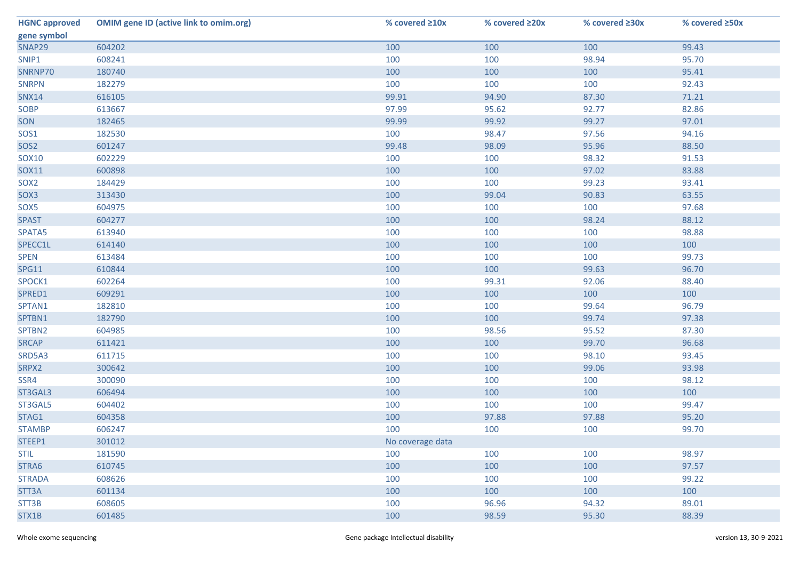| <b>HGNC approved</b> | <b>OMIM gene ID (active link to omim.org)</b> | % covered ≥10x   | % covered ≥20x | % covered ≥30x | % covered ≥50x |
|----------------------|-----------------------------------------------|------------------|----------------|----------------|----------------|
| gene symbol          |                                               |                  |                |                |                |
| SNAP29               | 604202                                        | 100              | 100            | 100            | 99.43          |
| SNIP1                | 608241                                        | 100              | 100            | 98.94          | 95.70          |
| SNRNP70              | 180740                                        | 100              | 100            | 100            | 95.41          |
| <b>SNRPN</b>         | 182279                                        | 100              | 100            | 100            | 92.43          |
| <b>SNX14</b>         | 616105                                        | 99.91            | 94.90          | 87.30          | 71.21          |
| SOBP                 | 613667                                        | 97.99            | 95.62          | 92.77          | 82.86          |
| SON                  | 182465                                        | 99.99            | 99.92          | 99.27          | 97.01          |
| SOS1                 | 182530                                        | 100              | 98.47          | 97.56          | 94.16          |
| SOS <sub>2</sub>     | 601247                                        | 99.48            | 98.09          | 95.96          | 88.50          |
| SOX10                | 602229                                        | 100              | 100            | 98.32          | 91.53          |
| SOX11                | 600898                                        | 100              | 100            | 97.02          | 83.88          |
| SOX <sub>2</sub>     | 184429                                        | 100              | 100            | 99.23          | 93.41          |
| SOX3                 | 313430                                        | 100              | 99.04          | 90.83          | 63.55          |
| SOX5                 | 604975                                        | 100              | 100            | 100            | 97.68          |
| <b>SPAST</b>         | 604277                                        | 100              | 100            | 98.24          | 88.12          |
| SPATA5               | 613940                                        | 100              | 100            | 100            | 98.88          |
| SPECC1L              | 614140                                        | 100              | 100            | 100            | 100            |
| <b>SPEN</b>          | 613484                                        | 100              | 100            | 100            | 99.73          |
| <b>SPG11</b>         | 610844                                        | 100              | 100            | 99.63          | 96.70          |
| SPOCK1               | 602264                                        | 100              | 99.31          | 92.06          | 88.40          |
| SPRED1               | 609291                                        | 100              | 100            | 100            | 100            |
| SPTAN1               | 182810                                        | 100              | 100            | 99.64          | 96.79          |
| SPTBN1               | 182790                                        | 100              | 100            | 99.74          | 97.38          |
| SPTBN2               | 604985                                        | 100              | 98.56          | 95.52          | 87.30          |
| <b>SRCAP</b>         | 611421                                        | 100              | 100            | 99.70          | 96.68          |
| SRD5A3               | 611715                                        | 100              | 100            | 98.10          | 93.45          |
| SRPX2                | 300642                                        | 100              | 100            | 99.06          | 93.98          |
| SSR4                 | 300090                                        | 100              | 100            | 100            | 98.12          |
| ST3GAL3              | 606494                                        | 100              | 100            | 100            | 100            |
| ST3GAL5              | 604402                                        | 100              | 100            | 100            | 99.47          |
| STAG1                | 604358                                        | 100              | 97.88          | 97.88          | 95.20          |
| <b>STAMBP</b>        | 606247                                        | 100              | 100            | 100            | 99.70          |
| STEEP1               | 301012                                        | No coverage data |                |                |                |
| <b>STIL</b>          | 181590                                        | 100              | 100            | 100            | 98.97          |
| STRA6                | 610745                                        | 100              | 100            | 100            | 97.57          |
| <b>STRADA</b>        | 608626                                        | 100              | 100            | 100            | 99.22          |
| STT3A                | 601134                                        | 100              | 100            | 100            | 100            |
| STT3B                | 608605                                        | 100              | 96.96          | 94.32          | 89.01          |
| STX1B                | 601485                                        | 100              | 98.59          | 95.30          | 88.39          |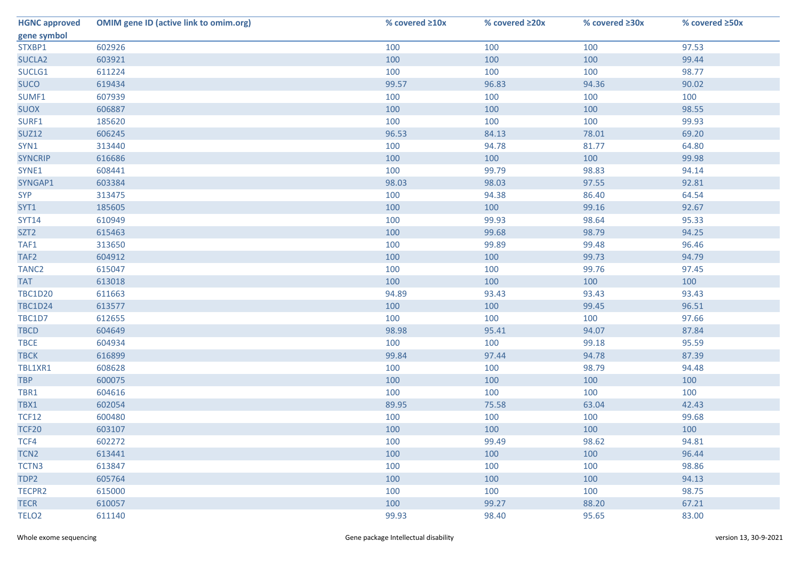| <b>HGNC approved</b> | <b>OMIM gene ID (active link to omim.org)</b> | % covered ≥10x | % covered ≥20x | % covered ≥30x | % covered ≥50x |
|----------------------|-----------------------------------------------|----------------|----------------|----------------|----------------|
| gene symbol          |                                               |                |                |                |                |
| STXBP1               | 602926                                        | 100            | 100            | 100            | 97.53          |
| SUCLA <sub>2</sub>   | 603921                                        | 100            | 100            | 100            | 99.44          |
| SUCLG1               | 611224                                        | 100            | 100            | 100            | 98.77          |
| <b>SUCO</b>          | 619434                                        | 99.57          | 96.83          | 94.36          | 90.02          |
| SUMF1                | 607939                                        | 100            | 100            | 100            | 100            |
| <b>SUOX</b>          | 606887                                        | 100            | 100            | 100            | 98.55          |
| SURF1                | 185620                                        | 100            | 100            | 100            | 99.93          |
| <b>SUZ12</b>         | 606245                                        | 96.53          | 84.13          | 78.01          | 69.20          |
| SYN1                 | 313440                                        | 100            | 94.78          | 81.77          | 64.80          |
| <b>SYNCRIP</b>       | 616686                                        | 100            | 100            | 100            | 99.98          |
| SYNE1                | 608441                                        | 100            | 99.79          | 98.83          | 94.14          |
| SYNGAP1              | 603384                                        | 98.03          | 98.03          | 97.55          | 92.81          |
| <b>SYP</b>           | 313475                                        | 100            | 94.38          | 86.40          | 64.54          |
| SYT1                 | 185605                                        | 100            | 100            | 99.16          | 92.67          |
| <b>SYT14</b>         | 610949                                        | 100            | 99.93          | 98.64          | 95.33          |
| SZT <sub>2</sub>     | 615463                                        | 100            | 99.68          | 98.79          | 94.25          |
| TAF1                 | 313650                                        | 100            | 99.89          | 99.48          | 96.46          |
| TAF <sub>2</sub>     | 604912                                        | 100            | 100            | 99.73          | 94.79          |
| TANC <sub>2</sub>    | 615047                                        | 100            | 100            | 99.76          | 97.45          |
| <b>TAT</b>           | 613018                                        | 100            | 100            | 100            | 100            |
| <b>TBC1D20</b>       | 611663                                        | 94.89          | 93.43          | 93.43          | 93.43          |
| <b>TBC1D24</b>       | 613577                                        | 100            | 100            | 99.45          | 96.51          |
| TBC1D7               | 612655                                        | 100            | 100            | 100            | 97.66          |
| <b>TBCD</b>          | 604649                                        | 98.98          | 95.41          | 94.07          | 87.84          |
| <b>TBCE</b>          | 604934                                        | 100            | 100            | 99.18          | 95.59          |
| <b>TBCK</b>          | 616899                                        | 99.84          | 97.44          | 94.78          | 87.39          |
| TBL1XR1              | 608628                                        | 100            | 100            | 98.79          | 94.48          |
| <b>TBP</b>           | 600075                                        | 100            | 100            | 100            | 100            |
| TBR1                 | 604616                                        | 100            | 100            | 100            | 100            |
| TBX1                 | 602054                                        | 89.95          | 75.58          | 63.04          | 42.43          |
| <b>TCF12</b>         | 600480                                        | 100            | 100            | 100            | 99.68          |
| <b>TCF20</b>         | 603107                                        | 100            | 100            | 100            | 100            |
| TCF4                 | 602272                                        | 100            | 99.49          | 98.62          | 94.81          |
| TCN <sub>2</sub>     | 613441                                        | 100            | 100            | 100            | 96.44          |
| TCTN3                | 613847                                        | 100            | 100            | 100            | 98.86          |
| TDP2                 | 605764                                        | 100            | 100            | 100            | 94.13          |
| TECPR2               | 615000                                        | 100            | 100            | 100            | 98.75          |
| <b>TECR</b>          | 610057                                        | 100            | 99.27          | 88.20          | 67.21          |
| TELO <sub>2</sub>    | 611140                                        | 99.93          | 98.40          | 95.65          | 83.00          |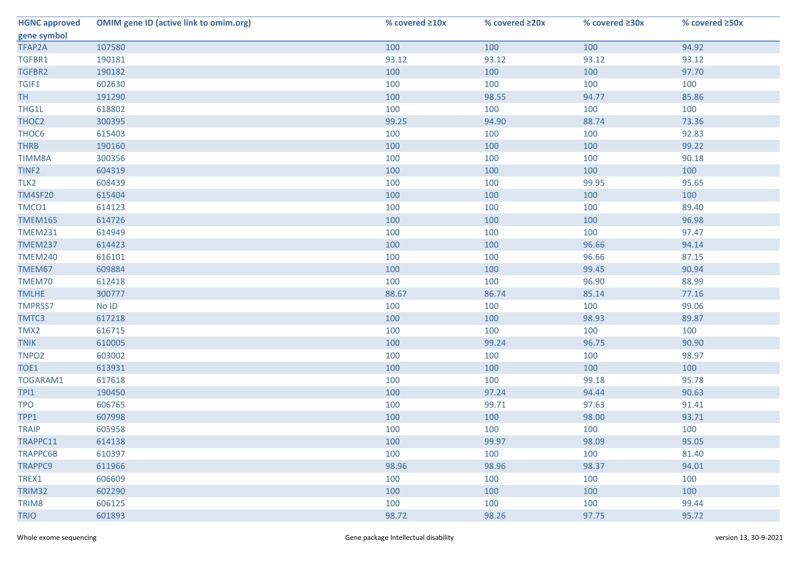| <b>HGNC approved</b> | <b>OMIM gene ID (active link to omim.org)</b> | % covered ≥10x | % covered ≥20x | % covered ≥30x | % covered ≥50x |
|----------------------|-----------------------------------------------|----------------|----------------|----------------|----------------|
| gene symbol          |                                               |                |                |                |                |
| TFAP2A               | 107580                                        | 100            | 100            | 100            | 94.92          |
| TGFBR1               | 190181                                        | 93.12          | 93.12          | 93.12          | 93.12          |
| TGFBR2               | 190182                                        | 100            | 100            | 100            | 97.70          |
| TGIF1                | 602630                                        | 100            | 100            | 100            | 100            |
| <b>TH</b>            | 191290                                        | 100            | 98.55          | 94.77          | 85.86          |
| THG1L                | 618802                                        | 100            | 100            | 100            | 100            |
| THOC2                | 300395                                        | 99.25          | 94.90          | 88.74          | 73.36          |
| THOC6                | 615403                                        | 100            | 100            | 100            | 92.83          |
| <b>THRB</b>          | 190160                                        | 100            | 100            | 100            | 99.22          |
| <b>TIMM8A</b>        | 300356                                        | 100            | 100            | 100            | 90.18          |
| TINF <sub>2</sub>    | 604319                                        | 100            | 100            | 100            | 100            |
| TLK <sub>2</sub>     | 608439                                        | 100            | 100            | 99.95          | 95.65          |
| <b>TM4SF20</b>       | 615404                                        | 100            | 100            | 100            | 100            |
| TMCO1                | 614123                                        | 100            | 100            | 100            | 89.40          |
| <b>TMEM165</b>       | 614726                                        | 100            | 100            | 100            | 96.98          |
| <b>TMEM231</b>       | 614949                                        | 100            | 100            | 100            | 97.47          |
| <b>TMEM237</b>       | 614423                                        | 100            | 100            | 96.66          | 94.14          |
| <b>TMEM240</b>       | 616101                                        | 100            | 100            | 96.66          | 87.15          |
| TMEM67               | 609884                                        | 100            | 100            | 99.45          | 90.94          |
| TMEM70               | 612418                                        | 100            | 100            | 96.90          | 88.99          |
| <b>TMLHE</b>         | 300777                                        | 88.67          | 86.74          | 85.14          | 77.16          |
| <b>TMPRSS7</b>       | No ID                                         | 100            | 100            | 100            | 99.06          |
| TMTC3                | 617218                                        | 100            | 100            | 98.93          | 89.87          |
| TMX2                 | 616715                                        | 100            | 100            | 100            | 100            |
| <b>TNIK</b>          | 610005                                        | 100            | 99.24          | 96.75          | 90.90          |
| TNPO <sub>2</sub>    | 603002                                        | 100            | 100            | 100            | 98.97          |
| TOE1                 | 613931                                        | 100            | 100            | 100            | 100            |
| TOGARAM1             | 617618                                        | 100            | 100            | 99.18          | 95.78          |
| TPI1                 | 190450                                        | 100            | 97.24          | 94.44          | 90.63          |
| <b>TPO</b>           | 606765                                        | 100            | 99.71          | 97.63          | 91.41          |
| TPP1                 | 607998                                        | 100            | 100            | 98.00          | 93.71          |
| <b>TRAIP</b>         | 605958                                        | 100            | 100            | 100            | 100            |
| TRAPPC11             | 614138                                        | 100            | 99.97          | 98.09          | 95.05          |
| <b>TRAPPC6B</b>      | 610397                                        | 100            | 100            | 100            | 81.40          |
| TRAPPC9              | 611966                                        | 98.96          | 98.96          | 98.37          | 94.01          |
| TREX1                | 606609                                        | 100            | 100            | 100            | 100            |
| TRIM32               | 602290                                        | 100            | 100            | 100            | 100            |
| TRIM8                | 606125                                        | 100            | 100            | 100            | 99.44          |
| <b>TRIO</b>          | 601893                                        | 98.72          | 98.26          | 97.75          | 95.72          |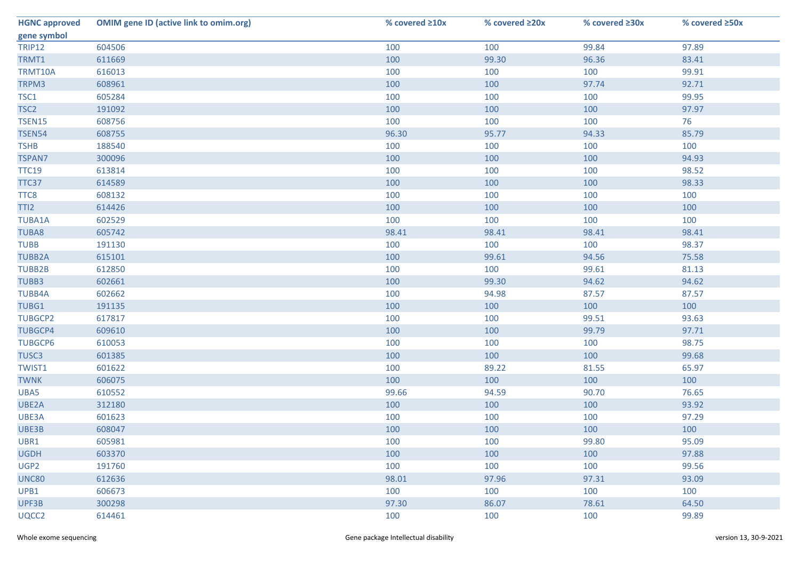| <b>HGNC approved</b> | <b>OMIM gene ID (active link to omim.org)</b> | % covered ≥10x | % covered ≥20x | % covered ≥30x | % covered ≥50x |
|----------------------|-----------------------------------------------|----------------|----------------|----------------|----------------|
| gene symbol          |                                               |                |                |                |                |
| <b>TRIP12</b>        | 604506                                        | 100            | 100            | 99.84          | 97.89          |
| TRMT1                | 611669                                        | 100            | 99.30          | 96.36          | 83.41          |
| TRMT10A              | 616013                                        | 100            | 100            | 100            | 99.91          |
| TRPM3                | 608961                                        | 100            | 100            | 97.74          | 92.71          |
| TSC1                 | 605284                                        | 100            | 100            | 100            | 99.95          |
| TSC <sub>2</sub>     | 191092                                        | 100            | 100            | 100            | 97.97          |
| <b>TSEN15</b>        | 608756                                        | 100            | 100            | 100            | 76             |
| <b>TSEN54</b>        | 608755                                        | 96.30          | 95.77          | 94.33          | 85.79          |
| <b>TSHB</b>          | 188540                                        | 100            | 100            | 100            | 100            |
| <b>TSPAN7</b>        | 300096                                        | 100            | 100            | 100            | 94.93          |
| <b>TTC19</b>         | 613814                                        | 100            | 100            | 100            | 98.52          |
| TTC37                | 614589                                        | 100            | 100            | 100            | 98.33          |
| TTC8                 | 608132                                        | 100            | 100            | 100            | 100            |
| TTI2                 | 614426                                        | 100            | 100            | 100            | 100            |
| <b>TUBA1A</b>        | 602529                                        | 100            | 100            | 100            | 100            |
| <b>TUBA8</b>         | 605742                                        | 98.41          | 98.41          | 98.41          | 98.41          |
| <b>TUBB</b>          | 191130                                        | 100            | 100            | 100            | 98.37          |
| <b>TUBB2A</b>        | 615101                                        | 100            | 99.61          | 94.56          | 75.58          |
| TUBB2B               | 612850                                        | 100            | 100            | 99.61          | 81.13          |
| TUBB3                | 602661                                        | 100            | 99.30          | 94.62          | 94.62          |
| <b>TUBB4A</b>        | 602662                                        | 100            | 94.98          | 87.57          | 87.57          |
| TUBG1                | 191135                                        | 100            | 100            | 100            | 100            |
| <b>TUBGCP2</b>       | 617817                                        | 100            | 100            | 99.51          | 93.63          |
| <b>TUBGCP4</b>       | 609610                                        | 100            | 100            | 99.79          | 97.71          |
| <b>TUBGCP6</b>       | 610053                                        | 100            | 100            | 100            | 98.75          |
| TUSC3                | 601385                                        | 100            | 100            | 100            | 99.68          |
| TWIST1               | 601622                                        | 100            | 89.22          | 81.55          | 65.97          |
| <b>TWNK</b>          | 606075                                        | 100            | 100            | 100            | 100            |
| UBA5                 | 610552                                        | 99.66          | 94.59          | 90.70          | 76.65          |
| UBE2A                | 312180                                        | 100            | 100            | 100            | 93.92          |
| UBE3A                | 601623                                        | 100            | 100            | 100            | 97.29          |
| UBE3B                | 608047                                        | 100            | 100            | 100            | 100            |
| UBR1                 | 605981                                        | 100            | 100            | 99.80          | 95.09          |
| <b>UGDH</b>          | 603370                                        | 100            | 100            | 100            | 97.88          |
| UGP2                 | 191760                                        | 100            | 100            | 100            | 99.56          |
| <b>UNC80</b>         | 612636                                        | 98.01          | 97.96          | 97.31          | 93.09          |
| UPB1                 | 606673                                        | 100            | 100            | 100            | 100            |
| UPF3B                | 300298                                        | 97.30          | 86.07          | 78.61          | 64.50          |
| UQCC2                | 614461                                        | 100            | 100            | 100            | 99.89          |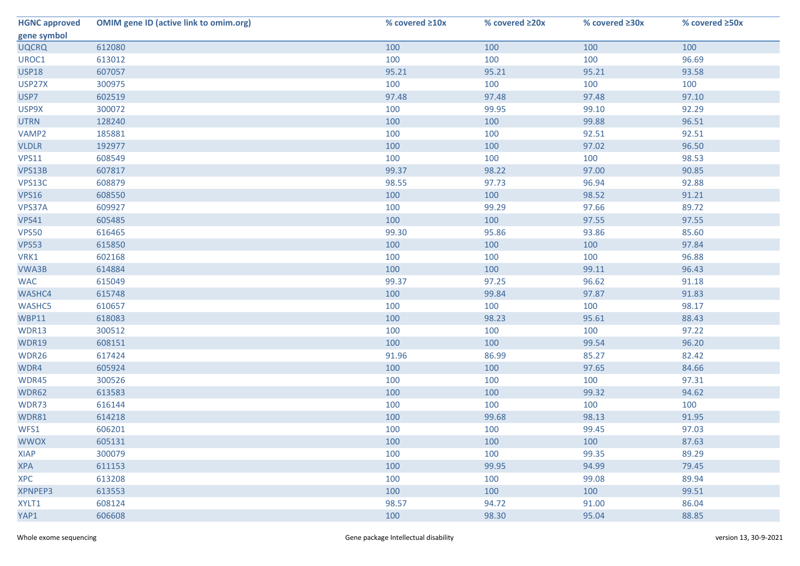| <b>HGNC approved</b> | <b>OMIM gene ID (active link to omim.org)</b> | % covered ≥10x | % covered ≥20x | % covered ≥30x | % covered ≥50x |
|----------------------|-----------------------------------------------|----------------|----------------|----------------|----------------|
| gene symbol          |                                               |                |                |                |                |
| <b>UQCRQ</b>         | 612080                                        | 100            | 100            | 100            | 100            |
| UROC1                | 613012                                        | 100            | 100            | 100            | 96.69          |
| <b>USP18</b>         | 607057                                        | 95.21          | 95.21          | 95.21          | 93.58          |
| USP27X               | 300975                                        | 100            | 100            | 100            | 100            |
| USP7                 | 602519                                        | 97.48          | 97.48          | 97.48          | 97.10          |
| USP9X                | 300072                                        | 100            | 99.95          | 99.10          | 92.29          |
| <b>UTRN</b>          | 128240                                        | 100            | 100            | 99.88          | 96.51          |
| VAMP2                | 185881                                        | 100            | 100            | 92.51          | 92.51          |
| <b>VLDLR</b>         | 192977                                        | 100            | 100            | 97.02          | 96.50          |
| <b>VPS11</b>         | 608549                                        | 100            | 100            | 100            | 98.53          |
| VPS13B               | 607817                                        | 99.37          | 98.22          | 97.00          | 90.85          |
| VPS13C               | 608879                                        | 98.55          | 97.73          | 96.94          | 92.88          |
| <b>VPS16</b>         | 608550                                        | 100            | 100            | 98.52          | 91.21          |
| VPS37A               | 609927                                        | 100            | 99.29          | 97.66          | 89.72          |
| <b>VPS41</b>         | 605485                                        | 100            | 100            | 97.55          | 97.55          |
| <b>VPS50</b>         | 616465                                        | 99.30          | 95.86          | 93.86          | 85.60          |
| <b>VPS53</b>         | 615850                                        | 100            | 100            | 100            | 97.84          |
| VRK1                 | 602168                                        | 100            | 100            | 100            | 96.88          |
| VWA3B                | 614884                                        | 100            | 100            | 99.11          | 96.43          |
| <b>WAC</b>           | 615049                                        | 99.37          | 97.25          | 96.62          | 91.18          |
| WASHC4               | 615748                                        | 100            | 99.84          | 97.87          | 91.83          |
| WASHC5               | 610657                                        | 100            | 100            | 100            | 98.17          |
| <b>WBP11</b>         | 618083                                        | 100            | 98.23          | 95.61          | 88.43          |
| WDR13                | 300512                                        | 100            | 100            | 100            | 97.22          |
| <b>WDR19</b>         | 608151                                        | 100            | 100            | 99.54          | 96.20          |
| WDR26                | 617424                                        | 91.96          | 86.99          | 85.27          | 82.42          |
| WDR4                 | 605924                                        | 100            | 100            | 97.65          | 84.66          |
| WDR45                | 300526                                        | 100            | 100            | 100            | 97.31          |
| WDR62                | 613583                                        | 100            | 100            | 99.32          | 94.62          |
| WDR73                | 616144                                        | 100            | 100            | 100            | 100            |
| WDR81                | 614218                                        | 100            | 99.68          | 98.13          | 91.95          |
| WFS1                 | 606201                                        | 100            | 100            | 99.45          | 97.03          |
| <b>WWOX</b>          | 605131                                        | 100            | 100            | 100            | 87.63          |
| <b>XIAP</b>          | 300079                                        | 100            | 100            | 99.35          | 89.29          |
| <b>XPA</b>           | 611153                                        | 100            | 99.95          | 94.99          | 79.45          |
| <b>XPC</b>           | 613208                                        | 100            | 100            | 99.08          | 89.94          |
| <b>XPNPEP3</b>       | 613553                                        | 100            | 100            | 100            | 99.51          |
| XYLT1                | 608124                                        | 98.57          | 94.72          | 91.00          | 86.04          |
| YAP1                 | 606608                                        | 100            | 98.30          | 95.04          | 88.85          |